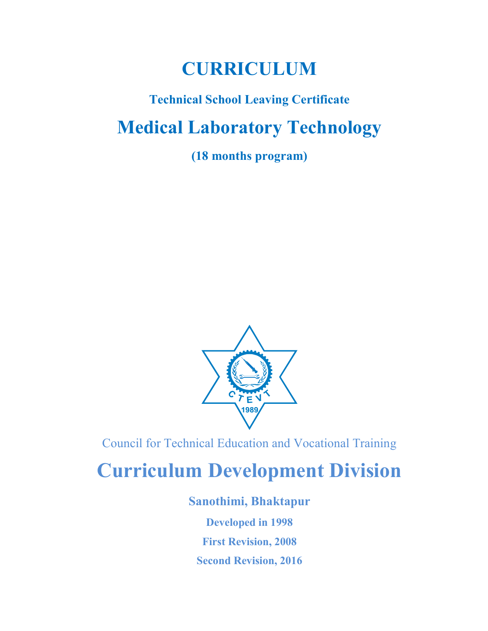# CURRICULUM

# Technical School Leaving Certificate Medical Laboratory Technology

(18 months program)



Council for Technical Education and Vocational Training

# Curriculum Development Division

## Sanothimi, Bhaktapur

Developed in 1998 First Revision, 2008 Second Revision, 2016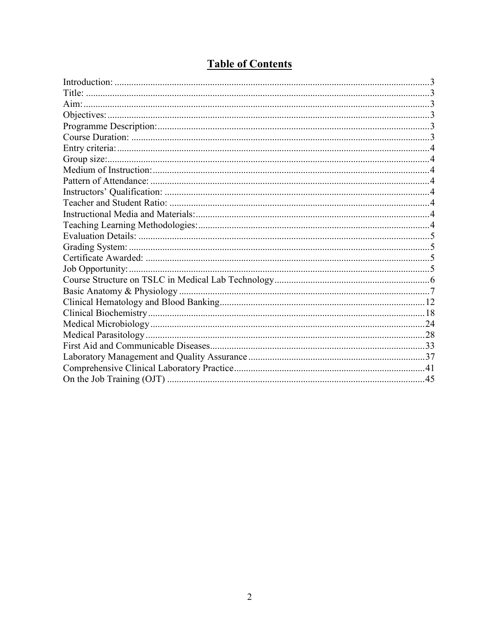## **Table of Contents**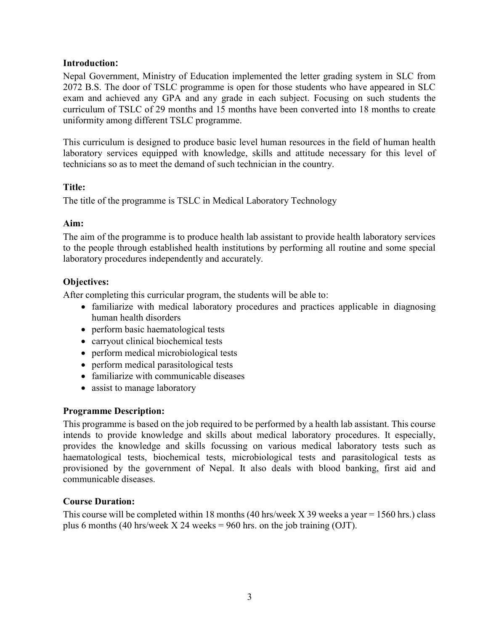#### Introduction:

Nepal Government, Ministry of Education implemented the letter grading system in SLC from 2072 B.S. The door of TSLC programme is open for those students who have appeared in SLC exam and achieved any GPA and any grade in each subject. Focusing on such students the curriculum of TSLC of 29 months and 15 months have been converted into 18 months to create uniformity among different TSLC programme.

This curriculum is designed to produce basic level human resources in the field of human health laboratory services equipped with knowledge, skills and attitude necessary for this level of technicians so as to meet the demand of such technician in the country.

#### Title:

The title of the programme is TSLC in Medical Laboratory Technology

#### Aim:

The aim of the programme is to produce health lab assistant to provide health laboratory services to the people through established health institutions by performing all routine and some special laboratory procedures independently and accurately.

### Objectives:

After completing this curricular program, the students will be able to:

- familiarize with medical laboratory procedures and practices applicable in diagnosing human health disorders
- perform basic haematological tests
- carryout clinical biochemical tests
- perform medical microbiological tests
- perform medical parasitological tests
- familiarize with communicable diseases
- assist to manage laboratory

### Programme Description:

This programme is based on the job required to be performed by a health lab assistant. This course intends to provide knowledge and skills about medical laboratory procedures. It especially, provides the knowledge and skills focussing on various medical laboratory tests such as haematological tests, biochemical tests, microbiological tests and parasitological tests as provisioned by the government of Nepal. It also deals with blood banking, first aid and communicable diseases.

#### Course Duration:

This course will be completed within 18 months (40 hrs/week  $X$  39 weeks a year = 1560 hrs.) class plus 6 months (40 hrs/week  $X$  24 weeks = 960 hrs. on the job training (OJT).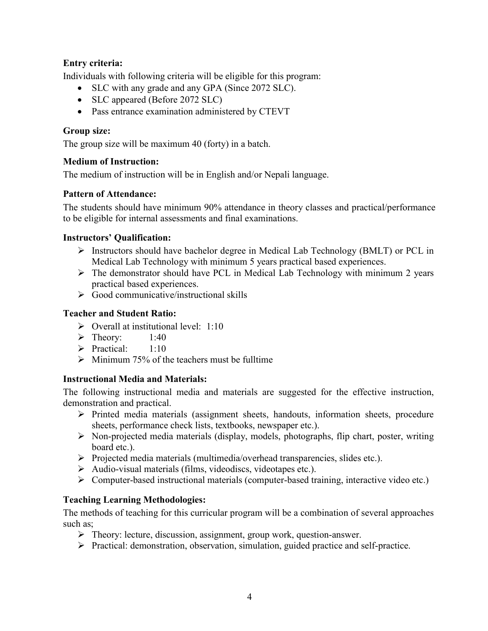### Entry criteria:

Individuals with following criteria will be eligible for this program:

- SLC with any grade and any GPA (Since 2072 SLC).
- SLC appeared (Before 2072 SLC)
- Pass entrance examination administered by CTEVT

#### Group size:

The group size will be maximum 40 (forty) in a batch.

### Medium of Instruction:

The medium of instruction will be in English and/or Nepali language.

#### Pattern of Attendance:

The students should have minimum 90% attendance in theory classes and practical/performance to be eligible for internal assessments and final examinations.

#### Instructors' Qualification:

- $\triangleright$  Instructors should have bachelor degree in Medical Lab Technology (BMLT) or PCL in Medical Lab Technology with minimum 5 years practical based experiences.
- $\triangleright$  The demonstrator should have PCL in Medical Lab Technology with minimum 2 years practical based experiences.
- $\triangleright$  Good communicative/instructional skills

#### Teacher and Student Ratio:

- $\triangleright$  Overall at institutional level: 1:10
- $\triangleright$  Theory: 1:40
- $\triangleright$  Practical: 1:10
- $\triangleright$  Minimum 75% of the teachers must be fulltime

### Instructional Media and Materials:

The following instructional media and materials are suggested for the effective instruction, demonstration and practical.

- $\triangleright$  Printed media materials (assignment sheets, handouts, information sheets, procedure sheets, performance check lists, textbooks, newspaper etc.).
- $\triangleright$  Non-projected media materials (display, models, photographs, flip chart, poster, writing board etc.).
- $\triangleright$  Projected media materials (multimedia/overhead transparencies, slides etc.).
- Audio-visual materials (films, videodiscs, videotapes etc.).
- Computer-based instructional materials (computer-based training, interactive video etc.)

### Teaching Learning Methodologies:

The methods of teaching for this curricular program will be a combination of several approaches such as;

- Theory: lecture, discussion, assignment, group work, question-answer.
- $\triangleright$  Practical: demonstration, observation, simulation, guided practice and self-practice.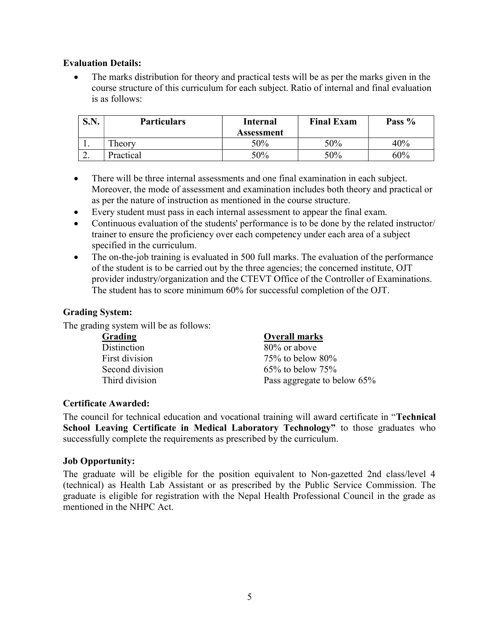#### Evaluation Details:

 The marks distribution for theory and practical tests will be as per the marks given in the course structure of this curriculum for each subject. Ratio of internal and final evaluation is as follows:

| DJ J. | <b>Particulars</b><br><b>Internal</b><br>Assessment |     | <b>Final Exam</b> | Pass % |  |
|-------|-----------------------------------------------------|-----|-------------------|--------|--|
| . .   | Theory                                              | 50% | 50%               | 40%    |  |
| ـ ـ   | Practical                                           | 50% | 50%               | 60%    |  |

- There will be three internal assessments and one final examination in each subject. Moreover, the mode of assessment and examination includes both theory and practical or as per the nature of instruction as mentioned in the course structure.
- Every student must pass in each internal assessment to appear the final exam.
- Continuous evaluation of the students' performance is to be done by the related instructor/ trainer to ensure the proficiency over each competency under each area of a subject specified in the curriculum.
- The on-the-job training is evaluated in 500 full marks. The evaluation of the performance of the student is to be carried out by the three agencies; the concerned institute, OJT provider industry/organization and the CTEVT Office of the Controller of Examinations. The student has to score minimum 60% for successful completion of the OJT.

#### Grading System:

The grading system will be as follows:

| Grading         | <b>Overall marks</b>        |
|-----------------|-----------------------------|
| Distinction     | 80% or above                |
| First division  | $75\%$ to below $80\%$      |
| Second division | $65\%$ to below $75\%$      |
| Third division  | Pass aggregate to below 65% |

#### Certificate Awarded:

The council for technical education and vocational training will award certificate in "Technical School Leaving Certificate in Medical Laboratory Technology" to those graduates who successfully complete the requirements as prescribed by the curriculum.

#### Job Opportunity:

The graduate will be eligible for the position equivalent to Non-gazetted 2nd class/level 4 (technical) as Health Lab Assistant or as prescribed by the Public Service Commission. The graduate is eligible for registration with the Nepal Health Professional Council in the grade as mentioned in the NHPC Act.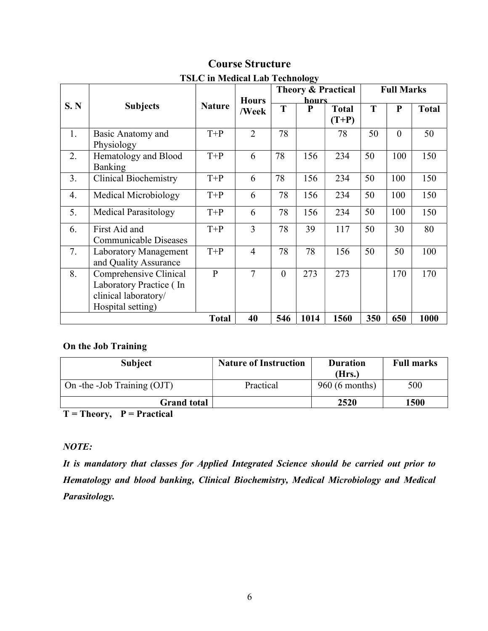|                                                         | <b>TOLU III MEURAL LAD TECHNOLOGY</b> |               |                |                                                    |     |              |    |           |              |  |  |
|---------------------------------------------------------|---------------------------------------|---------------|----------------|----------------------------------------------------|-----|--------------|----|-----------|--------------|--|--|
|                                                         |                                       |               |                | <b>Theory &amp; Practical</b><br><b>Full Marks</b> |     |              |    |           |              |  |  |
|                                                         |                                       |               | <b>Hours</b>   | hours                                              |     |              |    |           |              |  |  |
| S. N                                                    | <b>Subjects</b>                       | <b>Nature</b> | /Week          | T                                                  | P   | <b>Total</b> | T  | ${\bf P}$ | <b>Total</b> |  |  |
|                                                         |                                       |               |                |                                                    |     | $(T+P)$      |    |           |              |  |  |
| 1.                                                      | Basic Anatomy and                     | $T+P$         | $\overline{2}$ | 78                                                 |     | 78           | 50 | $\theta$  | 50           |  |  |
|                                                         | Physiology                            |               |                |                                                    |     |              |    |           |              |  |  |
| 2.                                                      | Hematology and Blood                  | $T+P$         | 6              | 78                                                 | 156 | 234          | 50 | 100       | 150          |  |  |
|                                                         | <b>Banking</b>                        |               |                |                                                    |     |              |    |           |              |  |  |
| 3.                                                      | <b>Clinical Biochemistry</b>          | $T+P$         | 6              | 78                                                 | 156 | 234          | 50 | 100       | 150          |  |  |
| 4.                                                      | Medical Microbiology                  | $T+P$         | 6              | 78                                                 | 156 | 234          | 50 | 100       | 150          |  |  |
| 5.                                                      | <b>Medical Parasitology</b>           | $T+P$         | 6              | 78                                                 | 156 | 234          | 50 | 100       | 150          |  |  |
| 6.                                                      | First Aid and                         | $T+P$         | 3              | 78                                                 | 39  | 117          | 50 | 30        | 80           |  |  |
|                                                         | Communicable Diseases                 |               |                |                                                    |     |              |    |           |              |  |  |
| 7.                                                      | Laboratory Management                 | $T+P$         | $\overline{4}$ | 78                                                 | 78  | 156          | 50 | 50        | 100          |  |  |
|                                                         | and Quality Assurance                 |               |                |                                                    |     |              |    |           |              |  |  |
| 8.                                                      | Comprehensive Clinical                | $\mathbf{P}$  | $\overline{7}$ | $\theta$                                           | 273 | 273          |    | 170       | 170          |  |  |
|                                                         | Laboratory Practice (In               |               |                |                                                    |     |              |    |           |              |  |  |
|                                                         | clinical laboratory/                  |               |                |                                                    |     |              |    |           |              |  |  |
|                                                         | Hospital setting)                     |               |                |                                                    |     |              |    |           |              |  |  |
| 40<br>546<br>1014<br>1560<br>650<br><b>Total</b><br>350 |                                       |               |                |                                                    |     |              |    | 1000      |              |  |  |

## Course Structure

## $TSTC$  in Medical Lab Technology

### On the Job Training

| <b>Subject</b>              | <b>Nature of Instruction</b> | <b>Duration</b><br>(Hrs.) | <b>Full marks</b> |
|-----------------------------|------------------------------|---------------------------|-------------------|
| On -the -Job Training (OJT) | Practical                    | 960 (6 months)            | 500               |
| <b>Grand total</b>          |                              | 2520                      | 1500              |

 $T = Theory, P = Practical$ 

### NOTE:

It is mandatory that classes for Applied Integrated Science should be carried out prior to Hematology and blood banking, Clinical Biochemistry, Medical Microbiology and Medical Parasitology.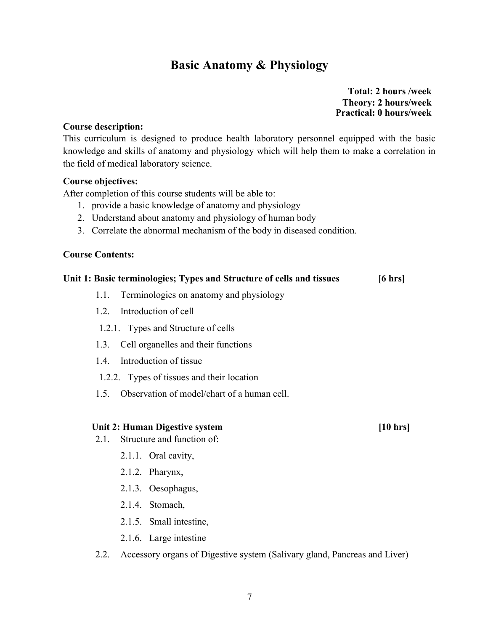## Basic Anatomy & Physiology

 Total: 2 hours /week Theory: 2 hours/week Practical: 0 hours/week

#### Course description:

This curriculum is designed to produce health laboratory personnel equipped with the basic knowledge and skills of anatomy and physiology which will help them to make a correlation in the field of medical laboratory science.

#### Course objectives:

After completion of this course students will be able to:

- 1. provide a basic knowledge of anatomy and physiology
- 2. Understand about anatomy and physiology of human body
- 3. Correlate the abnormal mechanism of the body in diseased condition.

#### Course Contents:

#### Unit 1: Basic terminologies; Types and Structure of cells and tissues [6 hrs]

- 1.1. Terminologies on anatomy and physiology
- 1.2. Introduction of cell
- 1.2.1. Types and Structure of cells
- 1.3. Cell organelles and their functions
- 1.4. Introduction of tissue
- 1.2.2. Types of tissues and their location
- 1.5. Observation of model/chart of a human cell.

#### Unit 2: Human Digestive system [10 hrs]

- 2.1. Structure and function of:
	- 2.1.1. Oral cavity,
	- 2.1.2. Pharynx,
	- 2.1.3. Oesophagus,
	- 2.1.4. Stomach,
	- 2.1.5. Small intestine,
	- 2.1.6. Large intestine
- 2.2. Accessory organs of Digestive system (Salivary gland, Pancreas and Liver)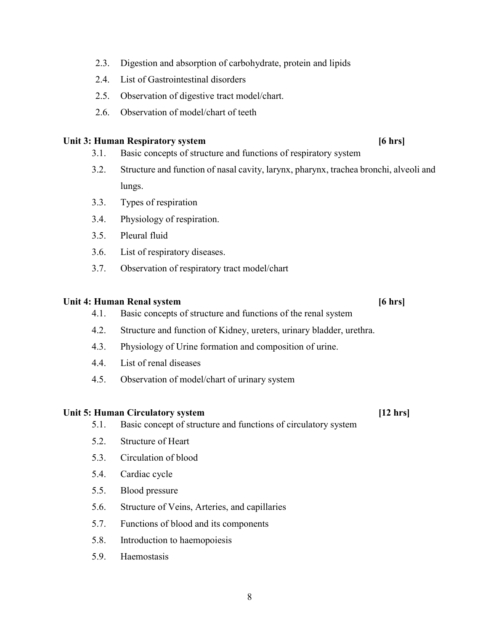- 2.3. Digestion and absorption of carbohydrate, protein and lipids
- 2.4. List of Gastrointestinal disorders
- 2.5. Observation of digestive tract model/chart.
- 2.6. Observation of model/chart of teeth

#### Unit 3: Human Respiratory system [6 hrs]

- 3.1. Basic concepts of structure and functions of respiratory system
- 3.2. Structure and function of nasal cavity, larynx, pharynx, trachea bronchi, alveoli and lungs.
- 3.3. Types of respiration
- 3.4. Physiology of respiration.
- 3.5. Pleural fluid
- 3.6. List of respiratory diseases.
- 3.7. Observation of respiratory tract model/chart

#### Unit 4: Human Renal system [6 hrs]

- 4.1. Basic concepts of structure and functions of the renal system
- 4.2. Structure and function of Kidney, ureters, urinary bladder, urethra.
- 4.3. Physiology of Urine formation and composition of urine.
- 4.4. List of renal diseases
- 4.5. Observation of model/chart of urinary system

#### Unit 5: Human Circulatory system [12 hrs]

- 5.1. Basic concept of structure and functions of circulatory system
- 5.2. Structure of Heart
- 5.3. Circulation of blood
- 5.4. Cardiac cycle
- 5.5. Blood pressure
- 5.6. Structure of Veins, Arteries, and capillaries
- 5.7. Functions of blood and its components
- 5.8. Introduction to haemopoiesis
- 5.9. Haemostasis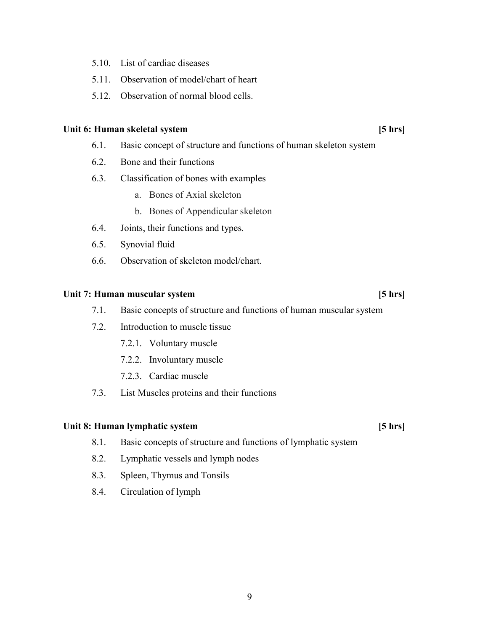- 5.10. List of cardiac diseases
- 5.11. Observation of model/chart of heart
- 5.12. Observation of normal blood cells.

#### Unit 6: Human skeletal system [5 hrs]

- 6.1. Basic concept of structure and functions of human skeleton system
- 6.2. Bone and their functions
- 6.3. Classification of bones with examples
	- a. Bones of Axial skeleton
	- b. Bones of Appendicular skeleton
- 6.4. Joints, their functions and types.
- 6.5. Synovial fluid
- 6.6. Observation of skeleton model/chart.

#### Unit 7: Human muscular system [5 hrs]

- 7.1. Basic concepts of structure and functions of human muscular system
- 7.2. Introduction to muscle tissue
	- 7.2.1. Voluntary muscle
	- 7.2.2. Involuntary muscle
	- 7.2.3. Cardiac muscle
- 7.3. List Muscles proteins and their functions

#### Unit 8: Human lymphatic system [5 hrs]

- 8.1. Basic concepts of structure and functions of lymphatic system
- 8.2. Lymphatic vessels and lymph nodes
- 8.3. Spleen, Thymus and Tonsils
- 8.4. Circulation of lymph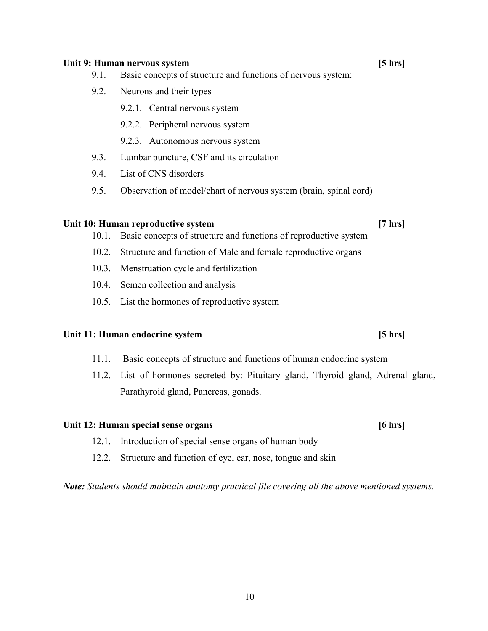#### Unit 9: Human nervous system [5 hrs]

- 9.1. Basic concepts of structure and functions of nervous system:
- 9.2. Neurons and their types
	- 9.2.1. Central nervous system
	- 9.2.2. Peripheral nervous system
	- 9.2.3. Autonomous nervous system
- 9.3. Lumbar puncture, CSF and its circulation
- 9.4. List of CNS disorders
- 9.5. Observation of model/chart of nervous system (brain, spinal cord)

#### Unit 10: Human reproductive system [7 hrs]

- 10.1. Basic concepts of structure and functions of reproductive system
- 10.2. Structure and function of Male and female reproductive organs
- 10.3. Menstruation cycle and fertilization
- 10.4. Semen collection and analysis
- 10.5. List the hormones of reproductive system

#### Unit 11: Human endocrine system [5 hrs]

- 11.1. Basic concepts of structure and functions of human endocrine system
- 11.2. List of hormones secreted by: Pituitary gland, Thyroid gland, Adrenal gland, Parathyroid gland, Pancreas, gonads.

#### Unit 12: Human special sense organs [6 hrs]

- 12.1. Introduction of special sense organs of human body
- 12.2. Structure and function of eye, ear, nose, tongue and skin

Note: Students should maintain anatomy practical file covering all the above mentioned systems.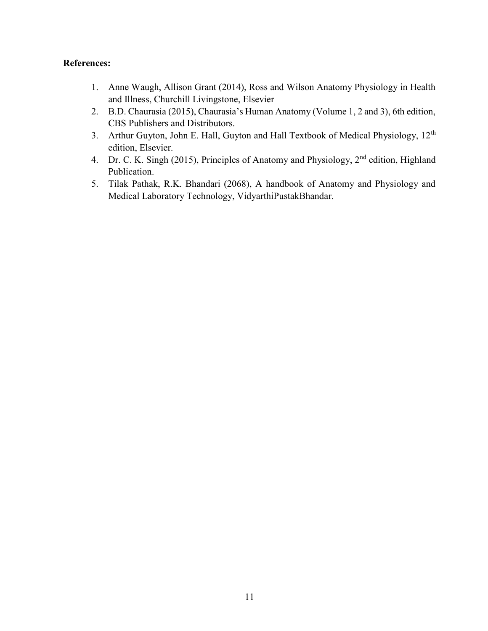#### References:

- 1. Anne Waugh, Allison Grant (2014), Ross and Wilson Anatomy Physiology in Health and Illness, Churchill Livingstone, Elsevier
- 2. B.D. Chaurasia (2015), Chaurasia's Human Anatomy (Volume 1, 2 and 3), 6th edition, CBS Publishers and Distributors.
- 3. Arthur Guyton, John E. Hall, Guyton and Hall Textbook of Medical Physiology, 12<sup>th</sup> edition, Elsevier.
- 4. Dr. C. K. Singh (2015), Principles of Anatomy and Physiology, 2<sup>nd</sup> edition, Highland Publication.
- 5. Tilak Pathak, R.K. Bhandari (2068), A handbook of Anatomy and Physiology and Medical Laboratory Technology, VidyarthiPustakBhandar.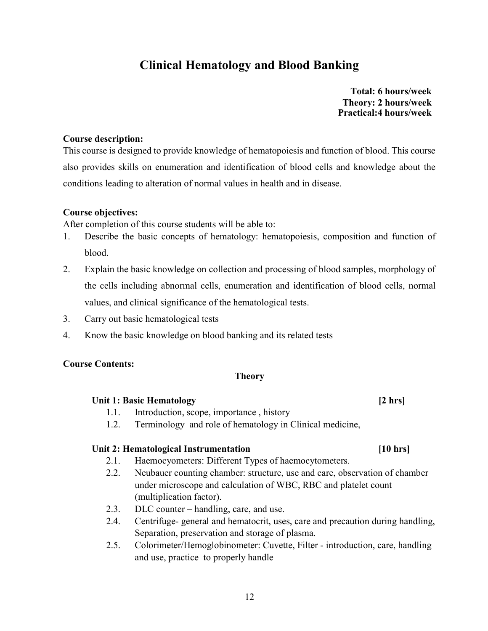## Clinical Hematology and Blood Banking

 Total: 6 hours/week Theory: 2 hours/week Practical:4 hours/week

#### Course description:

This course is designed to provide knowledge of hematopoiesis and function of blood. This course also provides skills on enumeration and identification of blood cells and knowledge about the conditions leading to alteration of normal values in health and in disease.

#### Course objectives:

After completion of this course students will be able to:

- 1. Describe the basic concepts of hematology: hematopoiesis, composition and function of blood.
- 2. Explain the basic knowledge on collection and processing of blood samples, morphology of the cells including abnormal cells, enumeration and identification of blood cells, normal values, and clinical significance of the hematological tests.
- 3. Carry out basic hematological tests
- 4. Know the basic knowledge on blood banking and its related tests

#### Course Contents:

#### Theory

#### Unit 1: Basic Hematology [2 hrs]

- 1.1. Introduction, scope, importance , history
- 1.2. Terminology and role of hematology in Clinical medicine,

#### Unit 2: Hematological Instrumentation [10 hrs]

- 2.1. Haemocyometers: Different Types of haemocytometers.
- 2.2. Neubauer counting chamber: structure, use and care, observation of chamber under microscope and calculation of WBC, RBC and platelet count (multiplication factor).
- 2.3. DLC counter handling, care, and use.
- 2.4. Centrifuge- general and hematocrit, uses, care and precaution during handling, Separation, preservation and storage of plasma.
- 2.5. Colorimeter/Hemoglobinometer: Cuvette, Filter introduction, care, handling and use, practice to properly handle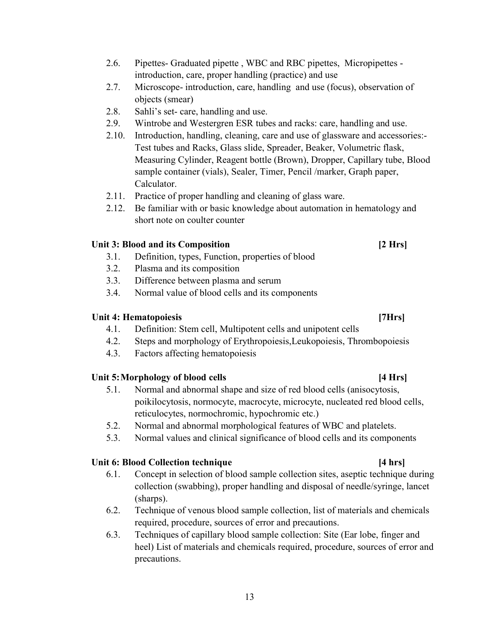- 2.6. Pipettes- Graduated pipette , WBC and RBC pipettes, Micropipettes introduction, care, proper handling (practice) and use
- 2.7. Microscope- introduction, care, handling and use (focus), observation of objects (smear)
- 2.8. Sahli's set- care, handling and use.
- 2.9. Wintrobe and Westergren ESR tubes and racks: care, handling and use.
- 2.10. Introduction, handling, cleaning, care and use of glassware and accessories:- Test tubes and Racks, Glass slide, Spreader, Beaker, Volumetric flask, Measuring Cylinder, Reagent bottle (Brown), Dropper, Capillary tube, Blood sample container (vials), Sealer, Timer, Pencil /marker, Graph paper, Calculator.
- 2.11. Practice of proper handling and cleaning of glass ware.
- 2.12. Be familiar with or basic knowledge about automation in hematology and short note on coulter counter

### Unit 3: Blood and its Composition **Example 2** Hrs

- 3.1. Definition, types, Function, properties of blood
- 3.2. Plasma and its composition
- 3.3. Difference between plasma and serum
- 3.4. Normal value of blood cells and its components

#### Unit 4: Hematopoiesis **Example 2018 CONSERVING EXAMPLE 2018 THE EXAMPLE 2018 CONSERVING EXAMPLE 2019 CONSERVING EXAMPLE 2019**

- 4.1. Definition: Stem cell, Multipotent cells and unipotent cells
- 4.2. Steps and morphology of Erythropoiesis,Leukopoiesis, Thrombopoiesis
- 4.3. Factors affecting hematopoiesis

### Unit 5: Morphology of blood cells [4 Hrs]

- 5.1. Normal and abnormal shape and size of red blood cells (anisocytosis, poikilocytosis, normocyte, macrocyte, microcyte, nucleated red blood cells, reticulocytes, normochromic, hypochromic etc.)
- 5.2. Normal and abnormal morphological features of WBC and platelets.
- 5.3. Normal values and clinical significance of blood cells and its components

### Unit 6: Blood Collection technique [4 hrs]

- 6.1. Concept in selection of blood sample collection sites, aseptic technique during collection (swabbing), proper handling and disposal of needle/syringe, lancet (sharps).
- 6.2. Technique of venous blood sample collection, list of materials and chemicals required, procedure, sources of error and precautions.
- 6.3. Techniques of capillary blood sample collection: Site (Ear lobe, finger and heel) List of materials and chemicals required, procedure, sources of error and precautions.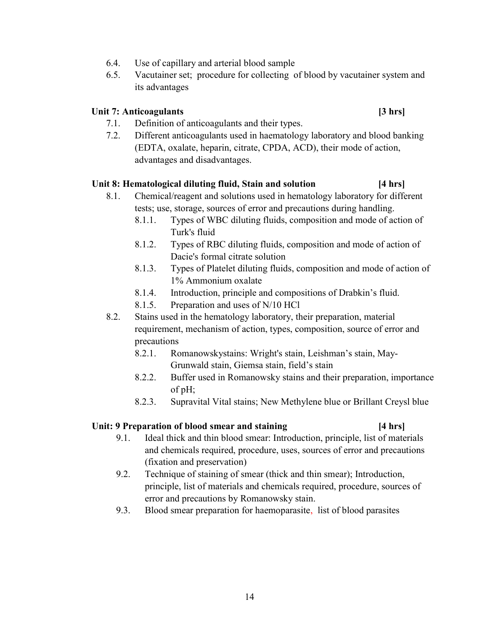- 6.4. Use of capillary and arterial blood sample
- 6.5. Vacutainer set; procedure for collecting of blood by vacutainer system and its advantages

#### Unit 7: Anticoagulants [3 hrs]

- 7.1. Definition of anticoagulants and their types.
- 7.2. Different anticoagulants used in haematology laboratory and blood banking (EDTA, oxalate, heparin, citrate, CPDA, ACD), their mode of action, advantages and disadvantages.

#### Unit 8: Hematological diluting fluid, Stain and solution [4 hrs]

- 8.1. Chemical/reagent and solutions used in hematology laboratory for different tests; use, storage, sources of error and precautions during handling.
	- 8.1.1. Types of WBC diluting fluids, composition and mode of action of Turk's fluid
	- 8.1.2. Types of RBC diluting fluids, composition and mode of action of Dacie's formal citrate solution
	- 8.1.3. Types of Platelet diluting fluids, composition and mode of action of 1% Ammonium oxalate
	- 8.1.4. Introduction, principle and compositions of Drabkin's fluid.
	- 8.1.5. Preparation and uses of N/10 HCl
- 8.2. Stains used in the hematology laboratory, their preparation, material requirement, mechanism of action, types, composition, source of error and precautions
	- 8.2.1. Romanowskystains: Wright's stain, Leishman's stain, May-Grunwald stain, Giemsa stain, field's stain
	- 8.2.2. Buffer used in Romanowsky stains and their preparation, importance of pH;
	- 8.2.3. Supravital Vital stains; New Methylene blue or Brillant Creysl blue

#### Unit: 9 Preparation of blood smear and staining [4 hrs]

- 9.1. Ideal thick and thin blood smear: Introduction, principle, list of materials and chemicals required, procedure, uses, sources of error and precautions (fixation and preservation)
- 9.2. Technique of staining of smear (thick and thin smear); Introduction, principle, list of materials and chemicals required, procedure, sources of error and precautions by Romanowsky stain.
- 9.3. Blood smear preparation for haemoparasite, list of blood parasites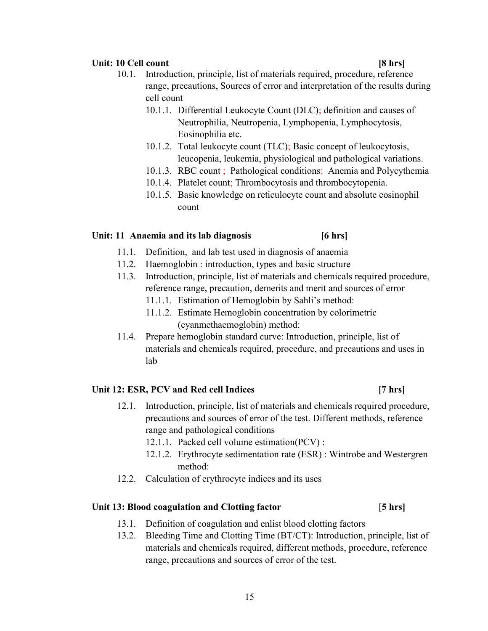#### Unit: 10 Cell count [8 hrs]

- 10.1. Introduction, principle, list of materials required, procedure, reference range, precautions, Sources of error and interpretation of the results during cell count
	- 10.1.1. Differential Leukocyte Count (DLC); definition and causes of Neutrophilia, Neutropenia, Lymphopenia, Lymphocytosis, Eosinophilia etc.
	- 10.1.2. Total leukocyte count (TLC); Basic concept of leukocytosis, leucopenia, leukemia, physiological and pathological variations.
	- 10.1.3. RBC count ; Pathological conditions: Anemia and Polycythemia
	- 10.1.4. Platelet count; Thrombocytosis and thrombocytopenia.
	- 10.1.5. Basic knowledge on reticulocyte count and absolute eosinophil count

### Unit: 11 Anaemia and its lab diagnosis [6 hrs]

- 11.1. Definition, and lab test used in diagnosis of anaemia
- 11.2. Haemoglobin : introduction, types and basic structure
- 11.3. Introduction, principle, list of materials and chemicals required procedure, reference range, precaution, demerits and merit and sources of error
	- 11.1.1. Estimation of Hemoglobin by Sahli's method:
	- 11.1.2. Estimate Hemoglobin concentration by colorimetric (cyanmethaemoglobin) method:
- 11.4. Prepare hemoglobin standard curve: Introduction, principle, list of materials and chemicals required, procedure, and precautions and uses in lab

### Unit 12: ESR, PCV and Red cell Indices [7 hrs]

- 12.1. Introduction, principle, list of materials and chemicals required procedure, precautions and sources of error of the test. Different methods, reference range and pathological conditions
	- 12.1.1. Packed cell volume estimation(PCV) :
	- 12.1.2. Erythrocyte sedimentation rate (ESR) : Wintrobe and Westergren method:
- 12.2. Calculation of erythrocyte indices and its uses

### Unit 13: Blood coagulation and Clotting factor [5 hrs]

- 13.1. Definition of coagulation and enlist blood clotting factors
- 13.2. Bleeding Time and Clotting Time (BT/CT): Introduction, principle, list of materials and chemicals required, different methods, procedure, reference range, precautions and sources of error of the test.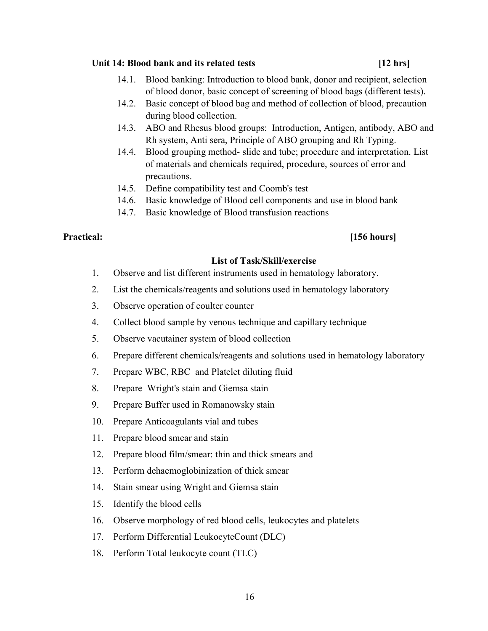### Unit 14: Blood bank and its related tests [12 hrs]

- 14.1. Blood banking: Introduction to blood bank, donor and recipient, selection of blood donor, basic concept of screening of blood bags (different tests).
- 14.2. Basic concept of blood bag and method of collection of blood, precaution during blood collection.
- 14.3. ABO and Rhesus blood groups: Introduction, Antigen, antibody, ABO and Rh system, Anti sera, Principle of ABO grouping and Rh Typing.
- 14.4. Blood grouping method- slide and tube; procedure and interpretation. List of materials and chemicals required, procedure, sources of error and precautions.
- 14.5. Define compatibility test and Coomb's test
- 14.6. Basic knowledge of Blood cell components and use in blood bank
- 14.7. Basic knowledge of Blood transfusion reactions

### Practical: [156 hours]

### List of Task/Skill/exercise

- 1. Observe and list different instruments used in hematology laboratory.
- 2. List the chemicals/reagents and solutions used in hematology laboratory
- 3. Observe operation of coulter counter
- 4. Collect blood sample by venous technique and capillary technique
- 5. Observe vacutainer system of blood collection
- 6. Prepare different chemicals/reagents and solutions used in hematology laboratory
- 7. Prepare WBC, RBC and Platelet diluting fluid
- 8. Prepare Wright's stain and Giemsa stain
- 9. Prepare Buffer used in Romanowsky stain
- 10. Prepare Anticoagulants vial and tubes
- 11. Prepare blood smear and stain
- 12. Prepare blood film/smear: thin and thick smears and
- 13. Perform dehaemoglobinization of thick smear
- 14. Stain smear using Wright and Giemsa stain
- 15. Identify the blood cells
- 16. Observe morphology of red blood cells, leukocytes and platelets
- 17. Perform Differential LeukocyteCount (DLC)
- 18. Perform Total leukocyte count (TLC)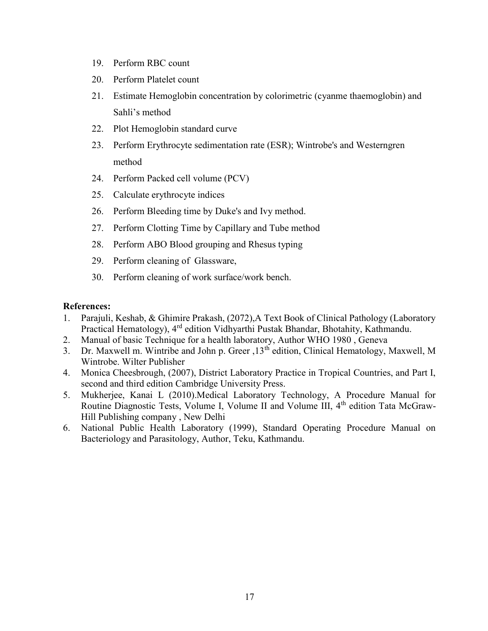- 19. Perform RBC count
- 20. Perform Platelet count
- 21. Estimate Hemoglobin concentration by colorimetric (cyanme thaemoglobin) and Sahli's method
- 22. Plot Hemoglobin standard curve
- 23. Perform Erythrocyte sedimentation rate (ESR); Wintrobe's and Westerngren method
- 24. Perform Packed cell volume (PCV)
- 25. Calculate erythrocyte indices
- 26. Perform Bleeding time by Duke's and Ivy method.
- 27. Perform Clotting Time by Capillary and Tube method
- 28. Perform ABO Blood grouping and Rhesus typing
- 29. Perform cleaning of Glassware,
- 30. Perform cleaning of work surface/work bench.

### References:

- 1. Parajuli, Keshab, & Ghimire Prakash, (2072),A Text Book of Clinical Pathology (Laboratory Practical Hematology), 4<sup>rd</sup> edition Vidhyarthi Pustak Bhandar, Bhotahity, Kathmandu.
- 2. Manual of basic Technique for a health laboratory, Author WHO 1980 , Geneva
- 3. Dr. Maxwell m. Wintribe and John p. Greer ,  $13<sup>th</sup>$  edition, Clinical Hematology, Maxwell, M Wintrobe. Wilter Publisher
- 4. Monica Cheesbrough, (2007), District Laboratory Practice in Tropical Countries, and Part I, second and third edition Cambridge University Press.
- 5. Mukherjee, Kanai L (2010).Medical Laboratory Technology, A Procedure Manual for Routine Diagnostic Tests, Volume I, Volume II and Volume III, 4<sup>th</sup> edition Tata McGraw-Hill Publishing company , New Delhi
- 6. National Public Health Laboratory (1999), Standard Operating Procedure Manual on Bacteriology and Parasitology, Author, Teku, Kathmandu.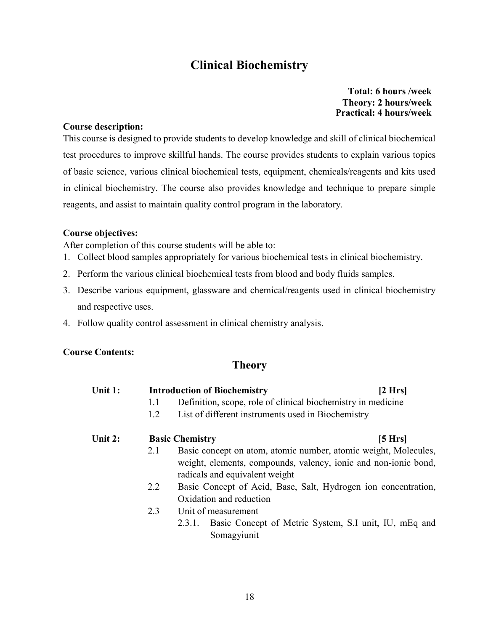## Clinical Biochemistry

 Total: 6 hours /week Theory: 2 hours/week Practical: 4 hours/week

#### Course description:

This course is designed to provide students to develop knowledge and skill of clinical biochemical test procedures to improve skillful hands. The course provides students to explain various topics of basic science, various clinical biochemical tests, equipment, chemicals/reagents and kits used in clinical biochemistry. The course also provides knowledge and technique to prepare simple reagents, and assist to maintain quality control program in the laboratory.

#### Course objectives:

After completion of this course students will be able to:

- 1. Collect blood samples appropriately for various biochemical tests in clinical biochemistry.
- 2. Perform the various clinical biochemical tests from blood and body fluids samples.
- 3. Describe various equipment, glassware and chemical/reagents used in clinical biochemistry and respective uses.
- 4. Follow quality control assessment in clinical chemistry analysis.

#### Course Contents:

### **Theory**

| Unit 1: |     | <b>Introduction of Biochemistry</b><br>$2$ Hrs                                                                                                                       |         |  |  |  |  |
|---------|-----|----------------------------------------------------------------------------------------------------------------------------------------------------------------------|---------|--|--|--|--|
|         | 1.1 | Definition, scope, role of clinical biochemistry in medicine                                                                                                         |         |  |  |  |  |
|         | 1.2 | List of different instruments used in Biochemistry                                                                                                                   |         |  |  |  |  |
| Unit 2: |     | <b>Basic Chemistry</b>                                                                                                                                               | [5 Hrs] |  |  |  |  |
|         | 2.1 | Basic concept on atom, atomic number, atomic weight, Molecules,<br>weight, elements, compounds, valency, ionic and non-ionic bond,<br>radicals and equivalent weight |         |  |  |  |  |
|         | 2.2 | Basic Concept of Acid, Base, Salt, Hydrogen ion concentration,<br>Oxidation and reduction                                                                            |         |  |  |  |  |
|         | 2.3 | Unit of measurement<br>Basic Concept of Metric System, S.I unit, IU, mEq and<br>2.3.1.<br>Somagyiunit                                                                |         |  |  |  |  |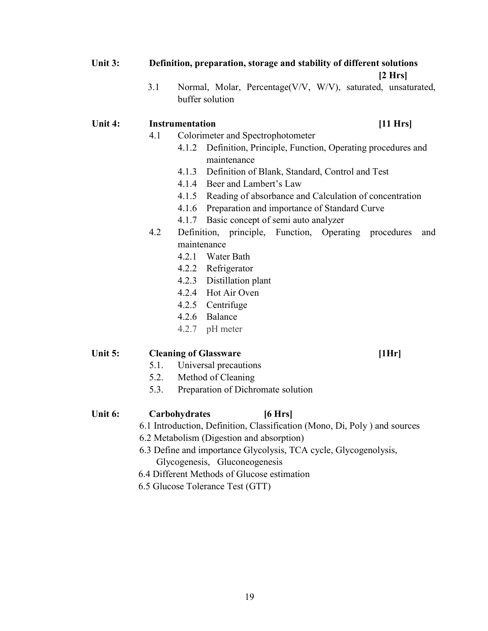### Unit 3: Definition, preparation, storage and stability of different solutions

#### $[2 Hrs]$

3.1 Normal, Molar, Percentage(V/V, W/V), saturated, unsaturated, buffer solution

#### Unit 4: Instrumentation [11 Hrs]

- 4.1 Colorimeter and Spectrophotometer
	- 4.1.2 Definition, Principle, Function, Operating procedures and maintenance
	- 4.1.3 Definition of Blank, Standard, Control and Test
	- 4.1.4 Beer and Lambert's Law
	- 4.1.5 Reading of absorbance and Calculation of concentration
	- 4.1.6 Preparation and importance of Standard Curve
	- 4.1.7 Basic concept of semi auto analyzer
- 4.2 Definition, principle, Function, Operating procedures and maintenance
	- 4.2.1 Water Bath
	- 4.2.2 Refrigerator
	- 4.2.3 Distillation plant
	- 4.2.4 Hot Air Oven
	- 4.2.5 Centrifuge
	- 4.2.6 Balance
	- 4.2.7 pH meter

#### Unit 5: Cleaning of Glassware [1Hr]

- 5.1. Universal precautions
- 5.2. Method of Cleaning
- 5.3. Preparation of Dichromate solution

#### Unit 6: Carbohydrates [6 Hrs]

- 6.1 Introduction, Definition, Classification (Mono, Di, Poly ) and sources
- 6.2 Metabolism (Digestion and absorption)
- 6.3 Define and importance Glycolysis, TCA cycle, Glycogenolysis, Glycogenesis, Gluconeogenesis
- 6.4 Different Methods of Glucose estimation
- 6.5 Glucose Tolerance Test (GTT)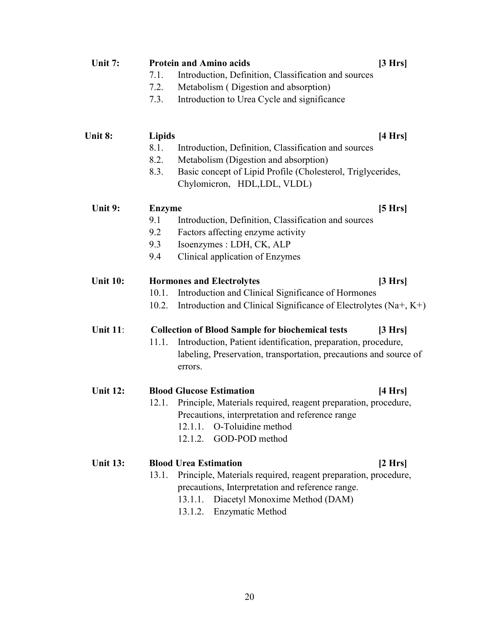| Unit 7:         | [3 Hrs]<br><b>Protein and Amino acids</b> |                                                                                                                                               |         |  |  |  |
|-----------------|-------------------------------------------|-----------------------------------------------------------------------------------------------------------------------------------------------|---------|--|--|--|
|                 | 7.1.                                      | Introduction, Definition, Classification and sources                                                                                          |         |  |  |  |
|                 | 7.2.                                      | Metabolism (Digestion and absorption)                                                                                                         |         |  |  |  |
|                 | 7.3.                                      | Introduction to Urea Cycle and significance                                                                                                   |         |  |  |  |
| Unit 8:         | <b>Lipids</b>                             |                                                                                                                                               | [4 Hrs] |  |  |  |
|                 | 8.1.                                      | Introduction, Definition, Classification and sources                                                                                          |         |  |  |  |
|                 | 8.2.                                      | Metabolism (Digestion and absorption)                                                                                                         |         |  |  |  |
|                 | 8.3.                                      | Basic concept of Lipid Profile (Cholesterol, Triglycerides,<br>Chylomicron, HDL,LDL, VLDL)                                                    |         |  |  |  |
| Unit 9:         | <b>Enzyme</b>                             |                                                                                                                                               | [5 Hrs] |  |  |  |
|                 | 9.1                                       | Introduction, Definition, Classification and sources                                                                                          |         |  |  |  |
|                 | 9.2                                       | Factors affecting enzyme activity                                                                                                             |         |  |  |  |
|                 | 9.3                                       | Isoenzymes : LDH, CK, ALP                                                                                                                     |         |  |  |  |
|                 | 9.4                                       | Clinical application of Enzymes                                                                                                               |         |  |  |  |
| <b>Unit 10:</b> |                                           | <b>Hormones and Electrolytes</b>                                                                                                              | [3 Hrs] |  |  |  |
|                 | 10.1.                                     | Introduction and Clinical Significance of Hormones                                                                                            |         |  |  |  |
|                 | 10.2.                                     | Introduction and Clinical Significance of Electrolytes (Na+, K+)                                                                              |         |  |  |  |
| <b>Unit 11:</b> |                                           | <b>Collection of Blood Sample for biochemical tests</b>                                                                                       | [3 Hrs] |  |  |  |
|                 | 11.1.                                     | Introduction, Patient identification, preparation, procedure,<br>labeling, Preservation, transportation, precautions and source of<br>errors. |         |  |  |  |
| <b>Unit 12:</b> |                                           | <b>Blood Glucose Estimation</b>                                                                                                               | [4 Hrs] |  |  |  |
|                 | 12.1.                                     | Principle, Materials required, reagent preparation, procedure,                                                                                |         |  |  |  |
|                 |                                           | Precautions, interpretation and reference range                                                                                               |         |  |  |  |
|                 |                                           | O-Toluidine method<br>12.1.1.                                                                                                                 |         |  |  |  |
|                 |                                           | GOD-POD method<br>12.1.2.                                                                                                                     |         |  |  |  |
| <b>Unit 13:</b> |                                           | <b>Blood Urea Estimation</b>                                                                                                                  | [2 Hrs] |  |  |  |
|                 | 13.1.                                     | Principle, Materials required, reagent preparation, procedure,                                                                                |         |  |  |  |
|                 |                                           | precautions, Interpretation and reference range.                                                                                              |         |  |  |  |
|                 |                                           | Diacetyl Monoxime Method (DAM)<br>13.1.1.                                                                                                     |         |  |  |  |
|                 |                                           | Enzymatic Method<br>13.1.2.                                                                                                                   |         |  |  |  |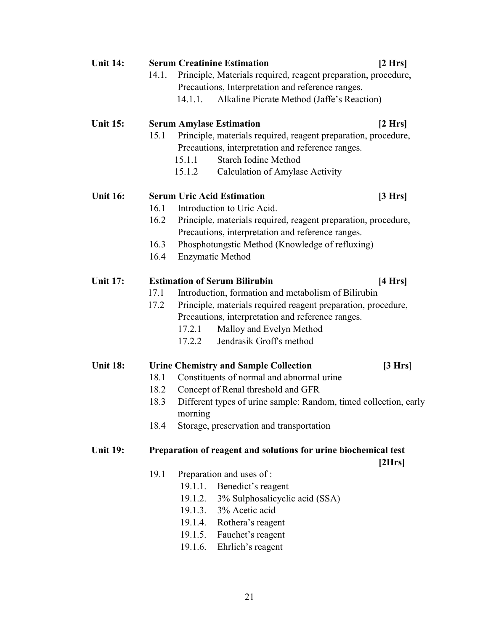| <b>Unit 14:</b> |       |         | <b>Serum Creatinine Estimation</b>                               | [2 Hrs] |
|-----------------|-------|---------|------------------------------------------------------------------|---------|
|                 | 14.1. |         | Principle, Materials required, reagent preparation, procedure,   |         |
|                 |       |         | Precautions, Interpretation and reference ranges.                |         |
|                 |       | 14.1.1. | Alkaline Picrate Method (Jaffe's Reaction)                       |         |
| <b>Unit 15:</b> |       |         | <b>Serum Amylase Estimation</b>                                  | [2 Hrs] |
|                 | 15.1  |         | Principle, materials required, reagent preparation, procedure,   |         |
|                 |       |         | Precautions, interpretation and reference ranges.                |         |
|                 |       | 15.1.1  | <b>Starch Iodine Method</b>                                      |         |
|                 |       | 15.1.2  | Calculation of Amylase Activity                                  |         |
| <b>Unit 16:</b> |       |         | <b>Serum Uric Acid Estimation</b>                                | [3 Hrs] |
|                 | 16.1  |         | Introduction to Uric Acid.                                       |         |
|                 | 16.2  |         | Principle, materials required, reagent preparation, procedure,   |         |
|                 |       |         | Precautions, interpretation and reference ranges.                |         |
|                 | 16.3  |         | Phosphotungstic Method (Knowledge of refluxing)                  |         |
|                 | 16.4  |         | <b>Enzymatic Method</b>                                          |         |
| <b>Unit 17:</b> |       |         | <b>Estimation of Serum Bilirubin</b>                             | [4 Hrs] |
|                 | 17.1  |         | Introduction, formation and metabolism of Bilirubin              |         |
|                 | 17.2  |         | Principle, materials required reagent preparation, procedure,    |         |
|                 |       |         | Precautions, interpretation and reference ranges.                |         |
|                 |       | 17.2.1  | Malloy and Evelyn Method                                         |         |
|                 |       | 17.2.2  | Jendrasik Groff's method                                         |         |
| <b>Unit 18:</b> |       |         | <b>Urine Chemistry and Sample Collection</b>                     | [3 Hrs] |
|                 | 18.1  |         | Constituents of normal and abnormal urine                        |         |
|                 | 18.2  |         | Concept of Renal threshold and GFR                               |         |
|                 | 18.3  |         | Different types of urine sample: Random, timed collection, early |         |
|                 |       | morning |                                                                  |         |
|                 | 18.4  |         | Storage, preservation and transportation                         |         |
| <b>Unit 19:</b> |       |         | Preparation of reagent and solutions for urine biochemical test  |         |
|                 |       |         |                                                                  | [2Hrs]  |
|                 | 19.1  |         | Preparation and uses of :                                        |         |
|                 |       | 19.1.1. | Benedict's reagent                                               |         |
|                 |       |         | 19.1.2. 3% Sulphosalicyclic acid (SSA)                           |         |
|                 |       | 19.1.3. | 3% Acetic acid                                                   |         |
|                 |       | 19.1.4. | Rothera's reagent                                                |         |
|                 |       | 19.1.5. | Fauchet's reagent                                                |         |
|                 |       | 19.1.6. | Ehrlich's reagent                                                |         |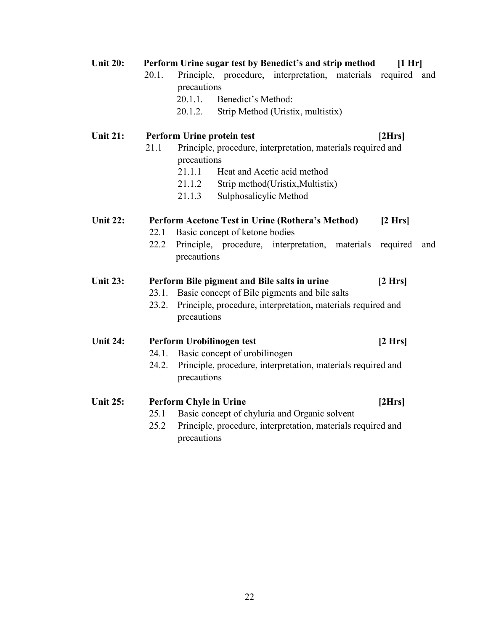| <b>Unit 20:</b> | Perform Urine sugar test by Benedict's and strip method<br>[1 Hr]<br>Principle, procedure, interpretation, materials required and<br>20.1. |  |  |  |  |
|-----------------|--------------------------------------------------------------------------------------------------------------------------------------------|--|--|--|--|
|                 | precautions                                                                                                                                |  |  |  |  |
|                 | 20.1.1.<br>Benedict's Method:                                                                                                              |  |  |  |  |
|                 | Strip Method (Uristix, multistix)<br>20.1.2.                                                                                               |  |  |  |  |
|                 |                                                                                                                                            |  |  |  |  |
| <b>Unit 21:</b> | Perform Urine protein test<br>[2Hrs]                                                                                                       |  |  |  |  |
|                 | 21.1<br>Principle, procedure, interpretation, materials required and                                                                       |  |  |  |  |
|                 | precautions                                                                                                                                |  |  |  |  |
|                 | 21.1.1<br>Heat and Acetic acid method                                                                                                      |  |  |  |  |
|                 | 21.1.2<br>Strip method(Uristix, Multistix)                                                                                                 |  |  |  |  |
|                 | Sulphosalicylic Method<br>21.1.3                                                                                                           |  |  |  |  |
| <b>Unit 22:</b> | Perform Acetone Test in Urine (Rothera's Method)<br>[2 Hrs]                                                                                |  |  |  |  |
|                 | Basic concept of ketone bodies<br>22.1                                                                                                     |  |  |  |  |
|                 | 22.2<br>Principle, procedure,<br>interpretation, materials<br>required<br>and                                                              |  |  |  |  |
|                 | precautions                                                                                                                                |  |  |  |  |
|                 |                                                                                                                                            |  |  |  |  |
| <b>Unit 23:</b> | Perform Bile pigment and Bile salts in urine<br>[2 Hrs]                                                                                    |  |  |  |  |
|                 | Basic concept of Bile pigments and bile salts<br>23.1.                                                                                     |  |  |  |  |
|                 | Principle, procedure, interpretation, materials required and<br>23.2.                                                                      |  |  |  |  |
|                 | precautions                                                                                                                                |  |  |  |  |
| <b>Unit 24:</b> |                                                                                                                                            |  |  |  |  |
|                 | Perform Urobilinogen test<br>[2 Hrs]<br>Basic concept of urobilinogen<br>24.1.                                                             |  |  |  |  |
|                 |                                                                                                                                            |  |  |  |  |
|                 | Principle, procedure, interpretation, materials required and<br>24.2.<br>precautions                                                       |  |  |  |  |
|                 |                                                                                                                                            |  |  |  |  |
| <b>Unit 25:</b> | <b>Perform Chyle in Urine</b><br>[2Hrs]                                                                                                    |  |  |  |  |
|                 | Basic concept of chyluria and Organic solvent<br>25.1                                                                                      |  |  |  |  |
|                 | Principle, procedure, interpretation, materials required and<br>25.2                                                                       |  |  |  |  |
|                 | precautions                                                                                                                                |  |  |  |  |

22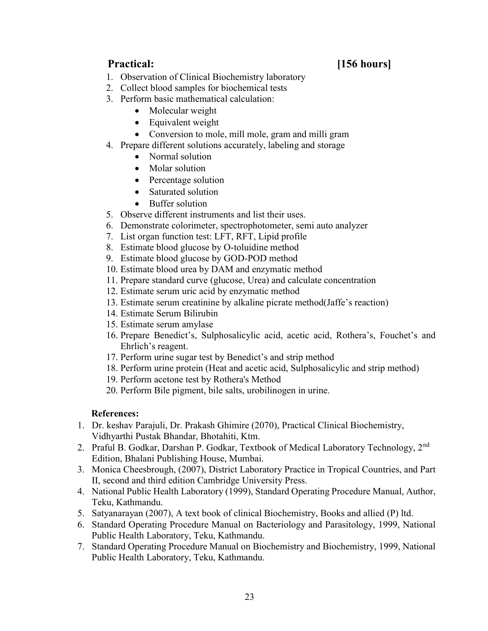## Practical: [156 hours]

- 1. Observation of Clinical Biochemistry laboratory
- 2. Collect blood samples for biochemical tests
- 3. Perform basic mathematical calculation:
	- Molecular weight
	- Equivalent weight
	- Conversion to mole, mill mole, gram and milli gram
- 4. Prepare different solutions accurately, labeling and storage
	- Normal solution
	- Molar solution
	- Percentage solution
	- Saturated solution
	- Buffer solution
- 5. Observe different instruments and list their uses.
- 6. Demonstrate colorimeter, spectrophotometer, semi auto analyzer
- 7. List organ function test: LFT, RFT, Lipid profile
- 8. Estimate blood glucose by O-toluidine method
- 9. Estimate blood glucose by GOD-POD method
- 10. Estimate blood urea by DAM and enzymatic method
- 11. Prepare standard curve (glucose, Urea) and calculate concentration
- 12. Estimate serum uric acid by enzymatic method
- 13. Estimate serum creatinine by alkaline picrate method(Jaffe's reaction)
- 14. Estimate Serum Bilirubin
- 15. Estimate serum amylase
- 16. Prepare Benedict's, Sulphosalicylic acid, acetic acid, Rothera's, Fouchet's and Ehrlich's reagent.
- 17. Perform urine sugar test by Benedict's and strip method
- 18. Perform urine protein (Heat and acetic acid, Sulphosalicylic and strip method)
- 19. Perform acetone test by Rothera's Method
- 20. Perform Bile pigment, bile salts, urobilinogen in urine.

### References:

- 1. Dr. keshav Parajuli, Dr. Prakash Ghimire (2070), Practical Clinical Biochemistry, Vidhyarthi Pustak Bhandar, Bhotahiti, Ktm.
- 2. Praful B. Godkar, Darshan P. Godkar, Textbook of Medical Laboratory Technology, 2<sup>nd</sup> Edition, Bhalani Publishing House, Mumbai.
- 3. Monica Cheesbrough, (2007), District Laboratory Practice in Tropical Countries, and Part II, second and third edition Cambridge University Press.
- 4. National Public Health Laboratory (1999), Standard Operating Procedure Manual, Author, Teku, Kathmandu.
- 5. Satyanarayan (2007), A text book of clinical Biochemistry, Books and allied (P) ltd.
- 6. Standard Operating Procedure Manual on Bacteriology and Parasitology, 1999, National Public Health Laboratory, Teku, Kathmandu.
- 7. Standard Operating Procedure Manual on Biochemistry and Biochemistry, 1999, National Public Health Laboratory, Teku, Kathmandu.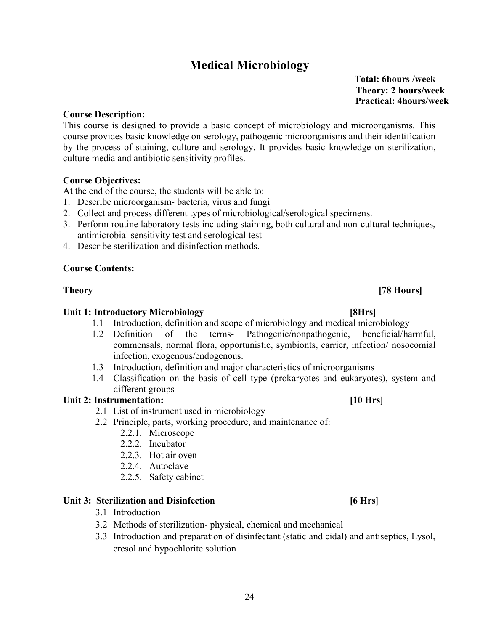## Medical Microbiology

 Total: 6hours /week Theory: 2 hours/week Practical: 4hours/week

#### Course Description:

This course is designed to provide a basic concept of microbiology and microorganisms. This course provides basic knowledge on serology, pathogenic microorganisms and their identification by the process of staining, culture and serology. It provides basic knowledge on sterilization, culture media and antibiotic sensitivity profiles.

### Course Objectives:

At the end of the course, the students will be able to:

- 1. Describe microorganism- bacteria, virus and fungi
- 2. Collect and process different types of microbiological/serological specimens.
- 3. Perform routine laboratory tests including staining, both cultural and non-cultural techniques, antimicrobial sensitivity test and serological test
- 4. Describe sterilization and disinfection methods.

#### Course Contents:

Theory [78 Hours]

#### Unit 1: Introductory Microbiology [8Hrs]

- 1.1 Introduction, definition and scope of microbiology and medical microbiology
- 1.2 Definition of the terms- Pathogenic/nonpathogenic, beneficial/harmful, commensals, normal flora, opportunistic, symbionts, carrier, infection/ nosocomial infection, exogenous/endogenous.
- 1.3 Introduction, definition and major characteristics of microorganisms
- 1.4 Classification on the basis of cell type (prokaryotes and eukaryotes), system and different groups

### Unit 2: Instrumentation: [10 Hrs]

- 2.1 List of instrument used in microbiology
- 2.2 Principle, parts, working procedure, and maintenance of:
	- 2.2.1. Microscope
	- 2.2.2. Incubator
	- 2.2.3. Hot air oven
	- 2.2.4. Autoclave
	- 2.2.5. Safety cabinet

#### Unit 3: Sterilization and Disinfection **contains the Contract of Stephen Contract Contract Contract Contract Contract Contract Contract Contract Contract Contract Contract Contract Contract Contract Contract Contract Contr**

- 3.1 Introduction
- 3.2 Methods of sterilization- physical, chemical and mechanical
- 3.3 Introduction and preparation of disinfectant (static and cidal) and antiseptics, Lysol, cresol and hypochlorite solution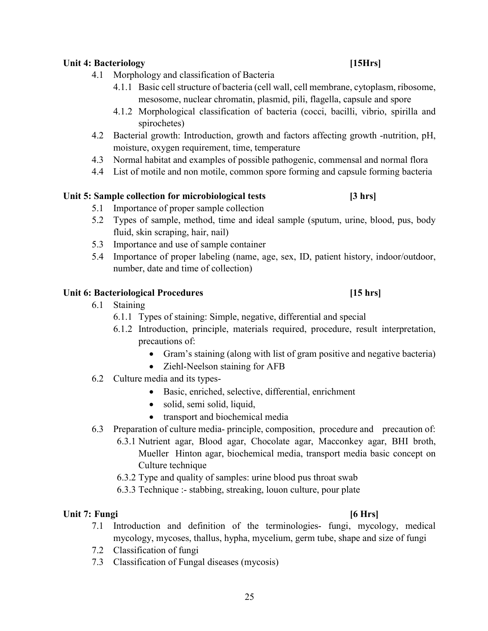### Unit 4: Bacteriology [15Hrs]

- 4.1 Morphology and classification of Bacteria
	- 4.1.1 Basic cell structure of bacteria (cell wall, cell membrane, cytoplasm, ribosome, mesosome, nuclear chromatin, plasmid, pili, flagella, capsule and spore
	- 4.1.2 Morphological classification of bacteria (cocci, bacilli, vibrio, spirilla and spirochetes)
- 4.2 Bacterial growth: Introduction, growth and factors affecting growth -nutrition, pH, moisture, oxygen requirement, time, temperature
- 4.3 Normal habitat and examples of possible pathogenic, commensal and normal flora
- 4.4 List of motile and non motile, common spore forming and capsule forming bacteria

### Unit 5: Sample collection for microbiological tests [3 hrs]

- 5.1 Importance of proper sample collection
- 5.2 Types of sample, method, time and ideal sample (sputum, urine, blood, pus, body fluid, skin scraping, hair, nail)
- 5.3 Importance and use of sample container
- 5.4 Importance of proper labeling (name, age, sex, ID, patient history, indoor/outdoor, number, date and time of collection)

### Unit 6: Bacteriological Procedures [15 hrs]

- 6.1 Staining
	- 6.1.1 Types of staining: Simple, negative, differential and special
	- 6.1.2 Introduction, principle, materials required, procedure, result interpretation, precautions of:
		- Gram's staining (along with list of gram positive and negative bacteria)
		- Ziehl-Neelson staining for AFB
- 6.2 Culture media and its types-
	- Basic, enriched, selective, differential, enrichment
	- solid, semi solid, liquid,
	- transport and biochemical media
- 6.3 Preparation of culture media- principle, composition, procedure and precaution of:
	- 6.3.1 Nutrient agar, Blood agar, Chocolate agar, Macconkey agar, BHI broth, Mueller Hinton agar, biochemical media, transport media basic concept on Culture technique
	- 6.3.2 Type and quality of samples: urine blood pus throat swab
	- 6.3.3 Technique :- stabbing, streaking, louon culture, pour plate

### Unit 7: Fungi  $[6 \text{ Hrs}]$

- 7.1 Introduction and definition of the terminologies- fungi, mycology, medical mycology, mycoses, thallus, hypha, mycelium, germ tube, shape and size of fungi
- 7.2 Classification of fungi
- 7.3 Classification of Fungal diseases (mycosis)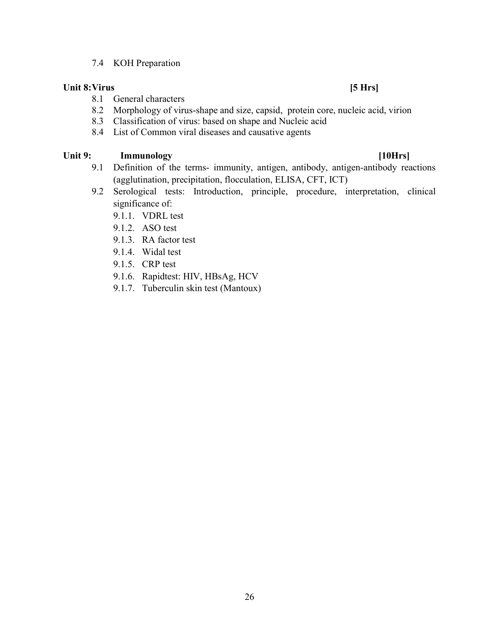#### 7.4 KOH Preparation

#### Unit 8: Virus [5 Hrs]

- 8.1 General characters
- 8.2 Morphology of virus-shape and size, capsid, protein core, nucleic acid, virion
- 8.3 Classification of virus: based on shape and Nucleic acid
- 8.4 List of Common viral diseases and causative agents

#### Unit 9: Immunology [10Hrs]

- 9.1 Definition of the terms- immunity, antigen, antibody, antigen-antibody reactions (agglutination, precipitation, flocculation, ELISA, CFT, ICT)
- 9.2 Serological tests: Introduction, principle, procedure, interpretation, clinical significance of:
	- 9.1.1. VDRL test
	- 9.1.2. ASO test
	- 9.1.3. RA factor test
	- 9.1.4. Widal test
	- 9.1.5. CRP test
	- 9.1.6. Rapidtest: HIV, HBsAg, HCV
	- 9.1.7. Tuberculin skin test (Mantoux)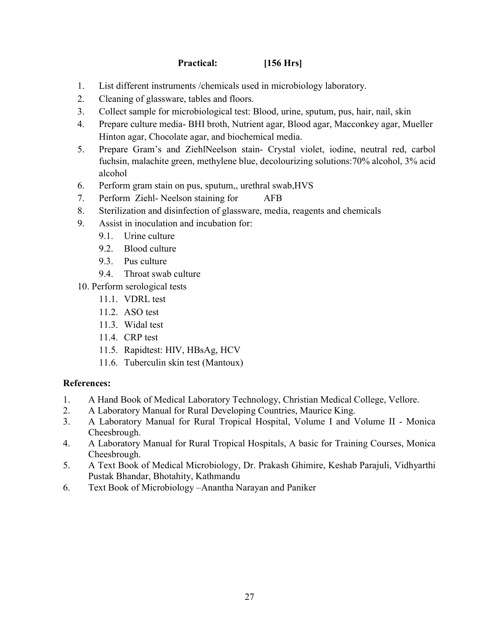Practical: [156 Hrs]

- 1. List different instruments /chemicals used in microbiology laboratory.
- 2. Cleaning of glassware, tables and floors.
- 3. Collect sample for microbiological test: Blood, urine, sputum, pus, hair, nail, skin
- 4. Prepare culture media- BHI broth, Nutrient agar, Blood agar, Macconkey agar, Mueller Hinton agar, Chocolate agar, and biochemical media.
- 5. Prepare Gram's and ZiehlNeelson stain- Crystal violet, iodine, neutral red, carbol fuchsin, malachite green, methylene blue, decolourizing solutions:70% alcohol, 3% acid alcohol
- 6. Perform gram stain on pus, sputum,, urethral swab,HVS
- 7. Perform Ziehl- Neelson staining for AFB
- 8. Sterilization and disinfection of glassware, media, reagents and chemicals
- 9. Assist in inoculation and incubation for:
	- 9.1. Urine culture
	- 9.2. Blood culture
	- 9.3. Pus culture
	- 9.4. Throat swab culture
- 10. Perform serological tests
	- 11.1. VDRL test
	- 11.2. ASO test
	- 11.3. Widal test
	- 11.4. CRP test
	- 11.5. Rapidtest: HIV, HBsAg, HCV
	- 11.6. Tuberculin skin test (Mantoux)

### References:

- 1. A Hand Book of Medical Laboratory Technology, Christian Medical College, Vellore.
- 2. A Laboratory Manual for Rural Developing Countries, Maurice King.
- 3. A Laboratory Manual for Rural Tropical Hospital, Volume I and Volume II Monica Cheesbrough.
- 4. A Laboratory Manual for Rural Tropical Hospitals, A basic for Training Courses, Monica Cheesbrough.
- 5. A Text Book of Medical Microbiology, Dr. Prakash Ghimire, Keshab Parajuli, Vidhyarthi Pustak Bhandar, Bhotahity, Kathmandu
- 6. Text Book of Microbiology –Anantha Narayan and Paniker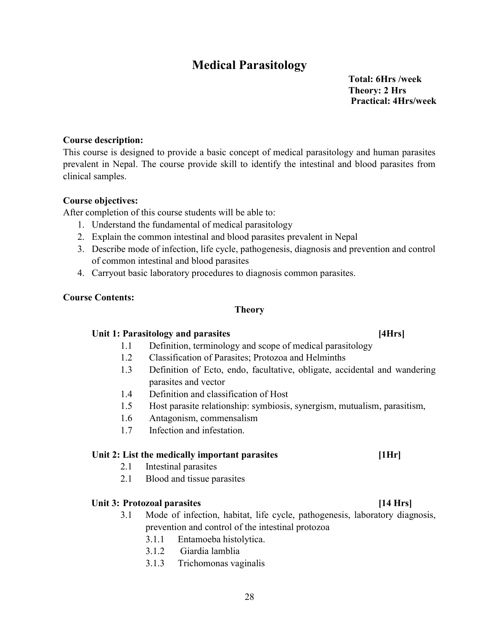## Medical Parasitology

 Total: 6Hrs /week Theory: 2 Hrs Practical: 4Hrs/week

### Course description:

This course is designed to provide a basic concept of medical parasitology and human parasites prevalent in Nepal. The course provide skill to identify the intestinal and blood parasites from clinical samples.

#### Course objectives:

After completion of this course students will be able to:

- 1. Understand the fundamental of medical parasitology
- 2. Explain the common intestinal and blood parasites prevalent in Nepal
- 3. Describe mode of infection, life cycle, pathogenesis, diagnosis and prevention and control of common intestinal and blood parasites
- 4. Carryout basic laboratory procedures to diagnosis common parasites.

### Course Contents:

### Theory

### Unit 1: Parasitology and parasites [4Hrs]

- 1.1 Definition, terminology and scope of medical parasitology
- 1.2 Classification of Parasites; Protozoa and Helminths
- 1.3 Definition of Ecto, endo, facultative, obligate, accidental and wandering parasites and vector
- 1.4 Definition and classification of Host
- 1.5 Host parasite relationship: symbiosis, synergism, mutualism, parasitism,
- 1.6 Antagonism, commensalism
- 1.7 Infection and infestation.

### Unit 2: List the medically important parasites [1Hr]

- 2.1 Intestinal parasites
- 2.1 Blood and tissue parasites

### Unit 3: Protozoal parasites [14 Hrs]

- 3.1 Mode of infection, habitat, life cycle, pathogenesis, laboratory diagnosis, prevention and control of the intestinal protozoa
	- 3.1.1 Entamoeba histolytica.
	- 3.1.2 Giardia lamblia
	- 3.1.3 Trichomonas vaginalis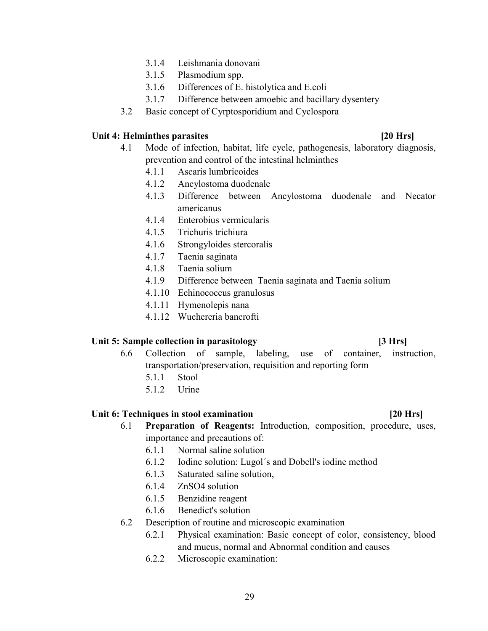- 3.1.4 Leishmania donovani
- 3.1.5 Plasmodium spp.
- 3.1.6 Differences of E. histolytica and E.coli
- 3.1.7 Difference between amoebic and bacillary dysentery
- 3.2 Basic concept of Cyrptosporidium and Cyclospora

#### Unit 4: Helminthes parasites [20 Hrs]

### 4.1 Mode of infection, habitat, life cycle, pathogenesis, laboratory diagnosis, prevention and control of the intestinal helminthes

- 4.1.1 Ascaris lumbricoides
- 4.1.2 Ancylostoma duodenale
- 4.1.3 Difference between Ancylostoma duodenale and Necator americanus
- 4.1.4 Enterobius vermicularis
- 4.1.5 Trichuris trichiura
- 4.1.6 Strongyloides stercoralis
- 4.1.7 Taenia saginata
- 4.1.8 Taenia solium
- 4.1.9 Difference between Taenia saginata and Taenia solium
- 4.1.10 Echinococcus granulosus
- 4.1.11 Hymenolepis nana
- 4.1.12 Wuchereria bancrofti

#### Unit 5: Sample collection in parasitology [3 Hrs]

- 6.6 Collection of sample, labeling, use of container, instruction, transportation/preservation, requisition and reporting form
	- 5.1.1 Stool
	- 5.1.2 Urine

#### Unit 6: Techniques in stool examination **Example 20** Hrs

- 6.1 Preparation of Reagents: Introduction, composition, procedure, uses, importance and precautions of:
	- 6.1.1 Normal saline solution
	- 6.1.2 Iodine solution: Lugol´s and Dobell's iodine method
	- 6.1.3 Saturated saline solution,
	- 6.1.4 ZnSO4 solution
	- 6.1.5 Benzidine reagent
	- 6.1.6 Benedict's solution
- 6.2 Description of routine and microscopic examination
	- 6.2.1 Physical examination: Basic concept of color, consistency, blood and mucus, normal and Abnormal condition and causes
	- 6.2.2 Microscopic examination:

#### 29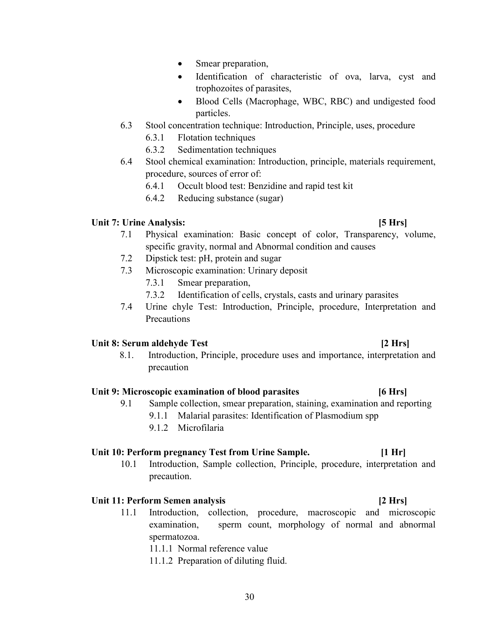- Smear preparation,
- Identification of characteristic of ova, larva, cyst and trophozoites of parasites,
- Blood Cells (Macrophage, WBC, RBC) and undigested food particles.
- 6.3 Stool concentration technique: Introduction, Principle, uses, procedure
	- 6.3.1 Flotation techniques
	- 6.3.2 Sedimentation techniques
- 6.4 Stool chemical examination: Introduction, principle, materials requirement, procedure, sources of error of:
	- 6.4.1 Occult blood test: Benzidine and rapid test kit
	- 6.4.2 Reducing substance (sugar)

#### Unit 7: Urine Analysis: [5 Hrs]

- 7.1 Physical examination: Basic concept of color, Transparency, volume, specific gravity, normal and Abnormal condition and causes
- 7.2 Dipstick test: pH, protein and sugar
- 7.3 Microscopic examination: Urinary deposit
	- 7.3.1 Smear preparation,
	- 7.3.2 Identification of cells, crystals, casts and urinary parasites
- 7.4 Urine chyle Test: Introduction, Principle, procedure, Interpretation and Precautions

#### Unit 8: Serum aldehyde Test [2 Hrs]

8.1. Introduction, Principle, procedure uses and importance, interpretation and precaution

#### Unit 9: Microscopic examination of blood parasites [6 Hrs]

- 9.1 Sample collection, smear preparation, staining, examination and reporting
	- 9.1.1 Malarial parasites: Identification of Plasmodium spp
	- 9.1.2 Microfilaria

#### Unit 10: Perform pregnancy Test from Urine Sample. [1 Hr]

10.1 Introduction, Sample collection, Principle, procedure, interpretation and precaution.

#### Unit 11: Perform Semen analysis [2 Hrs]

11.1 Introduction, collection, procedure, macroscopic and microscopic examination, sperm count, morphology of normal and abnormal spermatozoa.

11.1.1 Normal reference value

11.1.2 Preparation of diluting fluid.

#### 30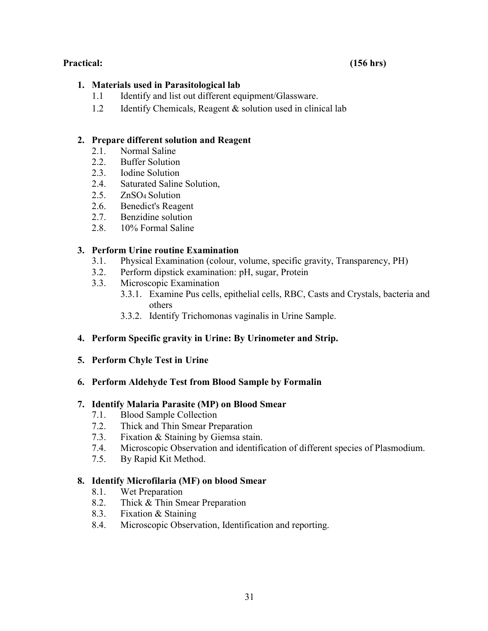#### Practical: (156 hrs)

#### 1. Materials used in Parasitological lab

- 1.1 Identify and list out different equipment/Glassware.
- 1.2 Identify Chemicals, Reagent & solution used in clinical lab

### 2. Prepare different solution and Reagent

- 2.1. Normal Saline
- 2.2. Buffer Solution
- 2.3. Iodine Solution
- 2.4. Saturated Saline Solution,
- 2.5. ZnSO4 Solution
- 2.6. Benedict's Reagent
- 2.7. Benzidine solution
- 2.8. 10% Formal Saline

### 3. Perform Urine routine Examination

- 3.1. Physical Examination (colour, volume, specific gravity, Transparency, PH)
- 3.2. Perform dipstick examination: pH, sugar, Protein
- 3.3. Microscopic Examination
	- 3.3.1. Examine Pus cells, epithelial cells, RBC, Casts and Crystals, bacteria and others
	- 3.3.2. Identify Trichomonas vaginalis in Urine Sample.

### 4. Perform Specific gravity in Urine: By Urinometer and Strip.

5. Perform Chyle Test in Urine

### 6. Perform Aldehyde Test from Blood Sample by Formalin

### 7. Identify Malaria Parasite (MP) on Blood Smear

- 7.1. Blood Sample Collection
- 7.2. Thick and Thin Smear Preparation
- 7.3. Fixation & Staining by Giemsa stain.
- 7.4. Microscopic Observation and identification of different species of Plasmodium.
- 7.5. By Rapid Kit Method.

### 8. Identify Microfilaria (MF) on blood Smear

- 8.1. Wet Preparation
- 8.2. Thick & Thin Smear Preparation
- 8.3. Fixation & Staining
- 8.4. Microscopic Observation, Identification and reporting.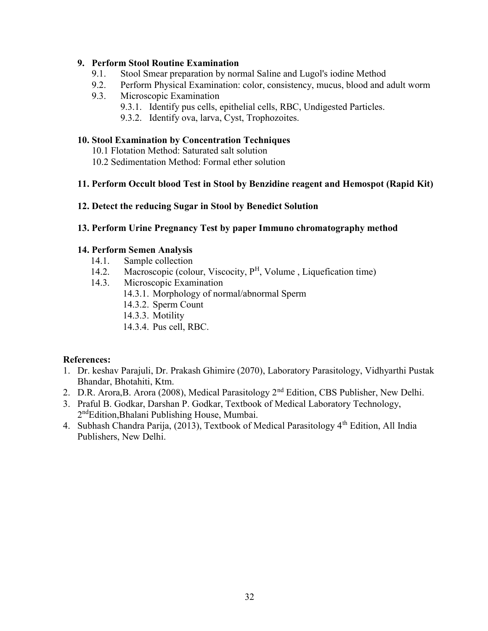#### 9. Perform Stool Routine Examination

- 9.1. Stool Smear preparation by normal Saline and Lugol's iodine Method
- 9.2. Perform Physical Examination: color, consistency, mucus, blood and adult worm
- 9.3. Microscopic Examination
	- 9.3.1. Identify pus cells, epithelial cells, RBC, Undigested Particles.
	- 9.3.2. Identify ova, larva, Cyst, Trophozoites.

#### 10. Stool Examination by Concentration Techniques

- 10.1 Flotation Method: Saturated salt solution
- 10.2 Sedimentation Method: Formal ether solution

#### 11. Perform Occult blood Test in Stool by Benzidine reagent and Hemospot (Rapid Kit)

12. Detect the reducing Sugar in Stool by Benedict Solution

#### 13. Perform Urine Pregnancy Test by paper Immuno chromatography method

#### 14. Perform Semen Analysis

- 14.1. Sample collection
- 14.2. Macroscopic (colour, Viscocity, P<sup>H</sup>, Volume, Liquefication time)
- 14.3. Microscopic Examination
	- 14.3.1. Morphology of normal/abnormal Sperm
	- 14.3.2. Sperm Count
	- 14.3.3. Motility
	- 14.3.4. Pus cell, RBC.

#### References:

- 1. Dr. keshav Parajuli, Dr. Prakash Ghimire (2070), Laboratory Parasitology, Vidhyarthi Pustak Bhandar, Bhotahiti, Ktm.
- 2. D.R. Arora, B. Arora (2008), Medical Parasitology 2<sup>nd</sup> Edition, CBS Publisher, New Delhi.
- 3. Praful B. Godkar, Darshan P. Godkar, Textbook of Medical Laboratory Technology, 2<sup>nd</sup>Edition,Bhalani Publishing House, Mumbai.
- 4. Subhash Chandra Parija, (2013), Textbook of Medical Parasitology 4<sup>th</sup> Edition, All India Publishers, New Delhi.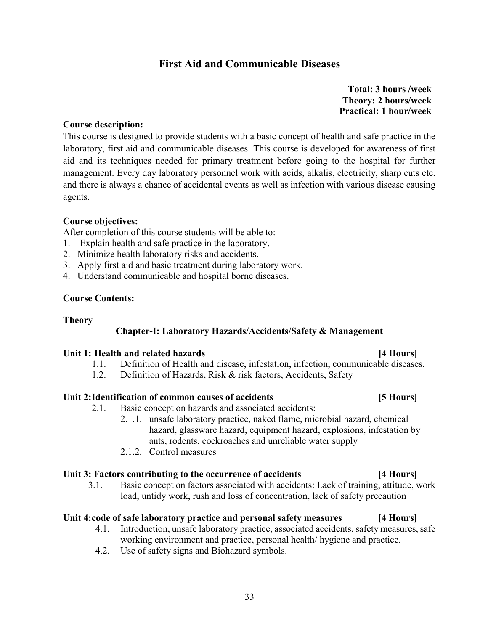### First Aid and Communicable Diseases

 Total: 3 hours /week Theory: 2 hours/week Practical: 1 hour/week

#### Course description:

This course is designed to provide students with a basic concept of health and safe practice in the laboratory, first aid and communicable diseases. This course is developed for awareness of first aid and its techniques needed for primary treatment before going to the hospital for further management. Every day laboratory personnel work with acids, alkalis, electricity, sharp cuts etc. and there is always a chance of accidental events as well as infection with various disease causing agents.

#### Course objectives:

After completion of this course students will be able to:

- 1. Explain health and safe practice in the laboratory.
- 2. Minimize health laboratory risks and accidents.
- 3. Apply first aid and basic treatment during laboratory work.
- 4. Understand communicable and hospital borne diseases.

#### Course Contents:

#### Theory

### Chapter-I: Laboratory Hazards/Accidents/Safety & Management

#### Unit 1: Health and related hazards [4 Hours]

### 1.1. Definition of Health and disease, infestation, infection, communicable diseases.

1.2. Definition of Hazards, Risk & risk factors, Accidents, Safety

#### Unit 2: Identification of common causes of accidents [5 Hours]

- 2.1. Basic concept on hazards and associated accidents:
	- 2.1.1. unsafe laboratory practice, naked flame, microbial hazard, chemical hazard, glassware hazard, equipment hazard, explosions, infestation by ants, rodents, cockroaches and unreliable water supply
	- 2.1.2. Control measures

#### Unit 3: Factors contributing to the occurrence of accidents [4 Hours]

3.1. Basic concept on factors associated with accidents: Lack of training, attitude, work load, untidy work, rush and loss of concentration, lack of safety precaution

### Unit 4: code of safe laboratory practice and personal safety measures [4 Hours]

- 4.1. Introduction, unsafe laboratory practice, associated accidents, safety measures, safe working environment and practice, personal health/ hygiene and practice.
- 4.2. Use of safety signs and Biohazard symbols.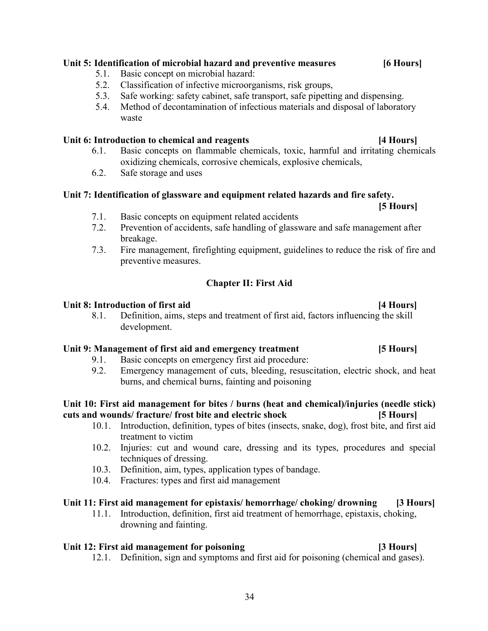### Unit 5: Identification of microbial hazard and preventive measures [6 Hours]

- 5.1. Basic concept on microbial hazard:
- 5.2. Classification of infective microorganisms, risk groups,
- 5.3. Safe working: safety cabinet, safe transport, safe pipetting and dispensing.
- 5.4. Method of decontamination of infectious materials and disposal of laboratory waste

#### Unit 6: Introduction to chemical and reagents [4 Hours]

- 6.1. Basic concepts on flammable chemicals, toxic, harmful and irritating chemicals oxidizing chemicals, corrosive chemicals, explosive chemicals,
- 6.2. Safe storage and uses

#### Unit 7: Identification of glassware and equipment related hazards and fire safety. [5 Hours]

- 7.1. Basic concepts on equipment related accidents
- 7.2. Prevention of accidents, safe handling of glassware and safe management after breakage.
- 7.3. Fire management, firefighting equipment, guidelines to reduce the risk of fire and preventive measures.

### Chapter II: First Aid

#### Unit 8: Introduction of first aid [4 Hours]

8.1. Definition, aims, steps and treatment of first aid, factors influencing the skill development.

### Unit 9: Management of first aid and emergency treatment [5 Hours]

- 9.1. Basic concepts on emergency first aid procedure:
- 9.2. Emergency management of cuts, bleeding, resuscitation, electric shock, and heat burns, and chemical burns, fainting and poisoning

#### Unit 10: First aid management for bites / burns (heat and chemical)/injuries (needle stick) cuts and wounds/ fracture/ frost bite and electric shock [5 Hours]

- 10.1. Introduction, definition, types of bites (insects, snake, dog), frost bite, and first aid treatment to victim
- 10.2. Injuries: cut and wound care, dressing and its types, procedures and special techniques of dressing.
- 10.3. Definition, aim, types, application types of bandage.
- 10.4. Fractures: types and first aid management

#### Unit 11: First aid management for epistaxis/ hemorrhage/ choking/ drowning [3 Hours]

11.1. Introduction, definition, first aid treatment of hemorrhage, epistaxis, choking, drowning and fainting.

### Unit 12: First aid management for poisoning the same control of the set of the set of the set of the set of the set of the set of the set of the set of the set of the set of the set of the set of the set of the set of the

12.1. Definition, sign and symptoms and first aid for poisoning (chemical and gases).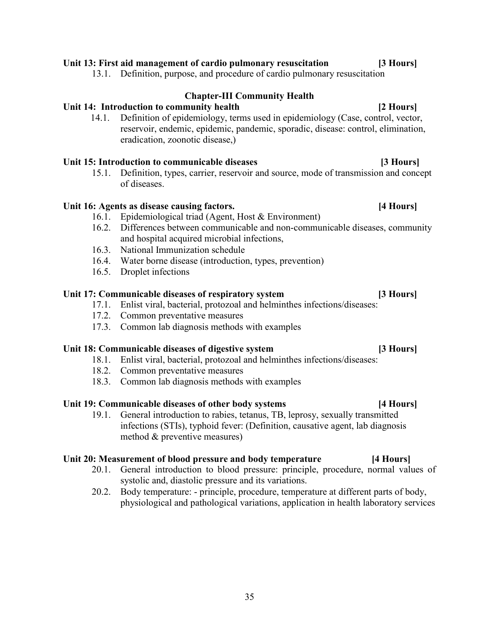#### Unit 13: First aid management of cardio pulmonary resuscitation [3 Hours]

13.1. Definition, purpose, and procedure of cardio pulmonary resuscitation

### Chapter-III Community Health

### Unit 14: Introduction to community health [2 Hours]

14.1. Definition of epidemiology, terms used in epidemiology (Case, control, vector, reservoir, endemic, epidemic, pandemic, sporadic, disease: control, elimination, eradication, zoonotic disease,)

#### Unit 15: Introduction to communicable diseases [3 Hours]

15.1. Definition, types, carrier, reservoir and source, mode of transmission and concept of diseases.

### Unit 16: Agents as disease causing factors. [4 Hours]

- 16.1. Epidemiological triad (Agent, Host & Environment)
- 16.2. Differences between communicable and non-communicable diseases, community and hospital acquired microbial infections,
- 16.3. National Immunization schedule
- 16.4. Water borne disease (introduction, types, prevention)
- 16.5. Droplet infections

#### Unit 17: Communicable diseases of respiratory system [3 Hours]

- 17.1. Enlist viral, bacterial, protozoal and helminthes infections/diseases:
- 17.2. Common preventative measures
- 17.3. Common lab diagnosis methods with examples

### Unit 18: Communicable diseases of digestive system [3 Hours]

- 18.1. Enlist viral, bacterial, protozoal and helminthes infections/diseases:
- 18.2. Common preventative measures
- 18.3. Common lab diagnosis methods with examples

#### Unit 19: Communicable diseases of other body systems [4 Hours]

19.1. General introduction to rabies, tetanus, TB, leprosy, sexually transmitted infections (STIs), typhoid fever: (Definition, causative agent, lab diagnosis method & preventive measures)

#### Unit 20: Measurement of blood pressure and body temperature [4 Hours]

- 20.1. General introduction to blood pressure: principle, procedure, normal values of systolic and, diastolic pressure and its variations.
- 20.2. Body temperature: principle, procedure, temperature at different parts of body, physiological and pathological variations, application in health laboratory services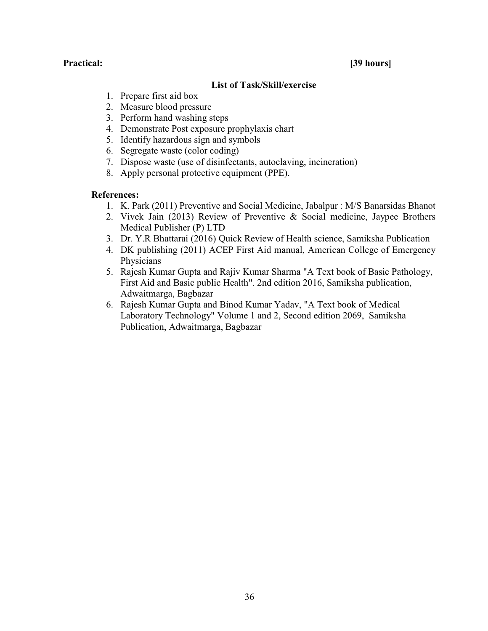#### Practical: [39 hours]

#### List of Task/Skill/exercise

- 1. Prepare first aid box
- 2. Measure blood pressure
- 3. Perform hand washing steps
- 4. Demonstrate Post exposure prophylaxis chart
- 5. Identify hazardous sign and symbols
- 6. Segregate waste (color coding)
- 7. Dispose waste (use of disinfectants, autoclaving, incineration)
- 8. Apply personal protective equipment (PPE).

#### References:

- 1. K. Park (2011) Preventive and Social Medicine, Jabalpur : M/S Banarsidas Bhanot
- 2. Vivek Jain (2013) Review of Preventive & Social medicine, Jaypee Brothers Medical Publisher (P) LTD
- 3. Dr. Y.R Bhattarai (2016) Quick Review of Health science, Samiksha Publication
- 4. DK publishing (2011) ACEP First Aid manual, American College of Emergency Physicians
- 5. Rajesh Kumar Gupta and Rajiv Kumar Sharma "A Text book of Basic Pathology, First Aid and Basic public Health". 2nd edition 2016, Samiksha publication, Adwaitmarga, Bagbazar
- 6. Rajesh Kumar Gupta and Binod Kumar Yadav, "A Text book of Medical Laboratory Technology" Volume 1 and 2, Second edition 2069, Samiksha Publication, Adwaitmarga, Bagbazar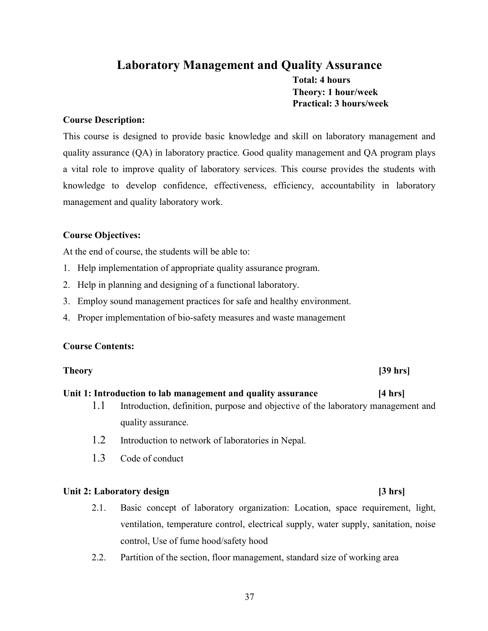## Laboratory Management and Quality Assurance Total: 4 hours Theory: 1 hour/week Practical: 3 hours/week

#### Course Description:

This course is designed to provide basic knowledge and skill on laboratory management and quality assurance (QA) in laboratory practice. Good quality management and QA program plays a vital role to improve quality of laboratory services. This course provides the students with knowledge to develop confidence, effectiveness, efficiency, accountability in laboratory management and quality laboratory work.

### Course Objectives:

At the end of course, the students will be able to:

- 1. Help implementation of appropriate quality assurance program.
- 2. Help in planning and designing of a functional laboratory.
- 3. Employ sound management practices for safe and healthy environment.
- 4. Proper implementation of bio-safety measures and waste management

#### Course Contents:

### Theory [39 hrs]

#### Unit 1: Introduction to lab management and quality assurance [4 hrs]

- 1.1 Introduction, definition, purpose and objective of the laboratory management and quality assurance.
- 1.2 Introduction to network of laboratories in Nepal.
- 1.3 Code of conduct

#### Unit 2: Laboratory design in the same state of  $\left[3 \text{ hrs}\right]$

- 2.1. Basic concept of laboratory organization: Location, space requirement, light, ventilation, temperature control, electrical supply, water supply, sanitation, noise control, Use of fume hood/safety hood
- 2.2. Partition of the section, floor management, standard size of working area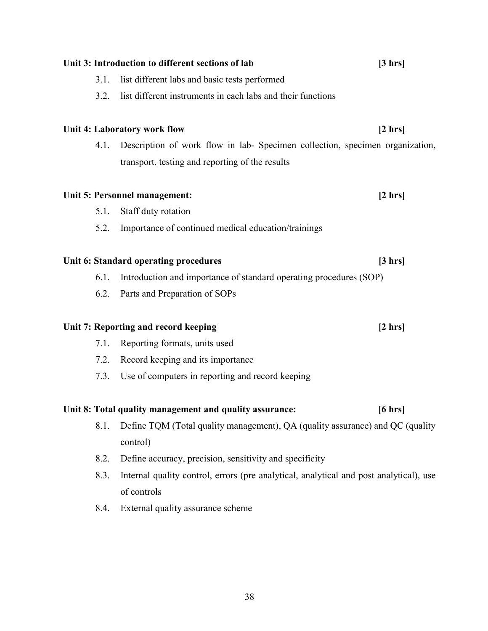|      | Unit 3: Introduction to different sections of lab                                         | $[3 \text{ hrs}]$ |
|------|-------------------------------------------------------------------------------------------|-------------------|
| 3.1. | list different labs and basic tests performed                                             |                   |
| 3.2. | list different instruments in each labs and their functions                               |                   |
|      | Unit 4: Laboratory work flow                                                              | $[2 \, hrs]$      |
| 4.1. | Description of work flow in lab- Specimen collection, specimen organization,              |                   |
|      | transport, testing and reporting of the results                                           |                   |
|      | Unit 5: Personnel management:                                                             | $[2 \, hrs]$      |
| 5.1. | Staff duty rotation                                                                       |                   |
| 5.2. | Importance of continued medical education/trainings                                       |                   |
|      | Unit 6: Standard operating procedures                                                     | $[3 \text{ hrs}]$ |
| 6.1. | Introduction and importance of standard operating procedures (SOP)                        |                   |
| 6.2. | Parts and Preparation of SOPs                                                             |                   |
|      | Unit 7: Reporting and record keeping                                                      | $[2 \, hrs]$      |
| 7.1. | Reporting formats, units used                                                             |                   |
| 7.2. | Record keeping and its importance                                                         |                   |
| 7.3. | Use of computers in reporting and record keeping                                          |                   |
|      | Unit 8: Total quality management and quality assurance:                                   | $[6 \text{ hrs}]$ |
| 8.1. | Define TQM (Total quality management), QA (quality assurance) and QC (quality<br>control) |                   |
| 8.2. | Define accuracy, precision, sensitivity and specificity                                   |                   |
| 8.3. | Internal quality control, errors (pre analytical, analytical and post analytical), use    |                   |
|      | of controls                                                                               |                   |
| 8.4. | External quality assurance scheme                                                         |                   |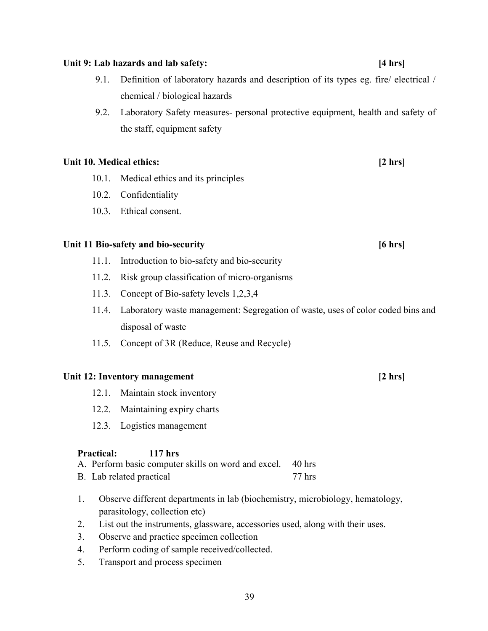#### Unit 9: Lab hazards and lab safety: [4 hrs]

- 9.1. Definition of laboratory hazards and description of its types eg. fire/ electrical / chemical / biological hazards
- 9.2. Laboratory Safety measures- personal protective equipment, health and safety of the staff, equipment safety

#### Unit 10. Medical ethics: [2 hrs]

- 10.1. Medical ethics and its principles
- 10.2. Confidentiality
- 10.3. Ethical consent.

#### Unit 11 Bio-safety and bio-security [6 hrs]

- 11.1. Introduction to bio-safety and bio-security
- 11.2. Risk group classification of micro-organisms
- 11.3. Concept of Bio-safety levels 1,2,3,4
- 11.4. Laboratory waste management: Segregation of waste, uses of color coded bins and disposal of waste
- 11.5. Concept of 3R (Reduce, Reuse and Recycle)

#### Unit 12: Inventory management [2 hrs]

- 12.1. Maintain stock inventory
- 12.2. Maintaining expiry charts
- 12.3. Logistics management

#### Practical: 117 hrs

- A. Perform basic computer skills on word and excel. 40 hrs
- B. Lab related practical 77 hrs
- 1. Observe different departments in lab (biochemistry, microbiology, hematology, parasitology, collection etc)
- 2. List out the instruments, glassware, accessories used, along with their uses.
- 3. Observe and practice specimen collection
- 4. Perform coding of sample received/collected.
- 5. Transport and process specimen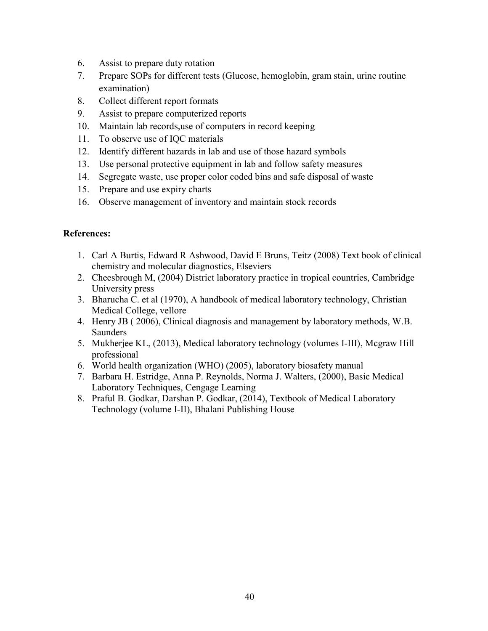- 6. Assist to prepare duty rotation
- 7. Prepare SOPs for different tests (Glucose, hemoglobin, gram stain, urine routine examination)
- 8. Collect different report formats
- 9. Assist to prepare computerized reports
- 10. Maintain lab records,use of computers in record keeping
- 11. To observe use of IQC materials
- 12. Identify different hazards in lab and use of those hazard symbols
- 13. Use personal protective equipment in lab and follow safety measures
- 14. Segregate waste, use proper color coded bins and safe disposal of waste
- 15. Prepare and use expiry charts
- 16. Observe management of inventory and maintain stock records

### References:

- 1. Carl A Burtis, Edward R Ashwood, David E Bruns, Teitz (2008) Text book of clinical chemistry and molecular diagnostics, Elseviers
- 2. Cheesbrough M, (2004) District laboratory practice in tropical countries, Cambridge University press
- 3. Bharucha C. et al (1970), A handbook of medical laboratory technology, Christian Medical College, vellore
- 4. Henry JB ( 2006), Clinical diagnosis and management by laboratory methods, W.B. Saunders
- 5. Mukherjee KL, (2013), Medical laboratory technology (volumes I-III), Mcgraw Hill professional
- 6. World health organization (WHO) (2005), laboratory biosafety manual
- 7. Barbara H. Estridge, Anna P. Reynolds, Norma J. Walters, (2000), Basic Medical Laboratory Techniques, Cengage Learning
- 8. Praful B. Godkar, Darshan P. Godkar, (2014), Textbook of Medical Laboratory Technology (volume I-II), Bhalani Publishing House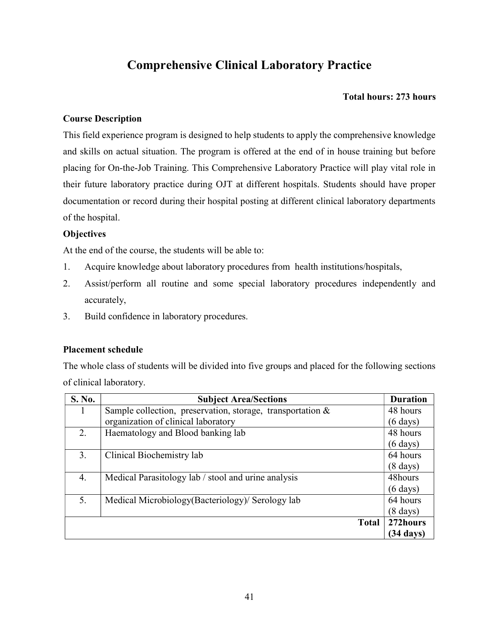## Comprehensive Clinical Laboratory Practice

#### Total hours: 273 hours

#### Course Description

This field experience program is designed to help students to apply the comprehensive knowledge and skills on actual situation. The program is offered at the end of in house training but before placing for On-the-Job Training. This Comprehensive Laboratory Practice will play vital role in their future laboratory practice during OJT at different hospitals. Students should have proper documentation or record during their hospital posting at different clinical laboratory departments of the hospital.

#### **Objectives**

At the end of the course, the students will be able to:

- 1. Acquire knowledge about laboratory procedures from health institutions/hospitals,
- 2. Assist/perform all routine and some special laboratory procedures independently and accurately,
- 3. Build confidence in laboratory procedures.

#### Placement schedule

The whole class of students will be divided into five groups and placed for the following sections of clinical laboratory.

| S. No. | <b>Subject Area/Sections</b>                                  | <b>Duration</b>     |
|--------|---------------------------------------------------------------|---------------------|
|        | Sample collection, preservation, storage, transportation $\&$ | 48 hours            |
|        | organization of clinical laboratory                           | $(6 \text{ days})$  |
| 2.     | Haematology and Blood banking lab                             | 48 hours            |
|        |                                                               | $(6 \text{ days})$  |
| 3.     | Clinical Biochemistry lab                                     | 64 hours            |
|        |                                                               | $(8 \text{ days})$  |
| 4.     | Medical Parasitology lab / stool and urine analysis           | 48hours             |
|        |                                                               | $(6 \text{ days})$  |
| 5.     | Medical Microbiology (Bacteriology) Serology lab              | 64 hours            |
|        |                                                               | $(8 \text{ days})$  |
|        | <b>Total</b>                                                  | 272hours            |
|        |                                                               | $(34 \text{ days})$ |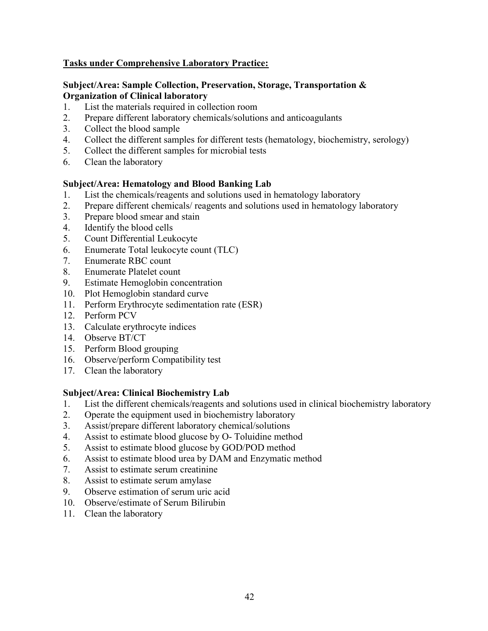### Tasks under Comprehensive Laboratory Practice:

#### Subject/Area: Sample Collection, Preservation, Storage, Transportation & Organization of Clinical laboratory

- 1. List the materials required in collection room
- 2. Prepare different laboratory chemicals/solutions and anticoagulants
- 3. Collect the blood sample
- 4. Collect the different samples for different tests (hematology, biochemistry, serology)
- 5. Collect the different samples for microbial tests
- 6. Clean the laboratory

#### Subject/Area: Hematology and Blood Banking Lab

- 1. List the chemicals/reagents and solutions used in hematology laboratory
- 2. Prepare different chemicals/ reagents and solutions used in hematology laboratory
- 3. Prepare blood smear and stain
- 4. Identify the blood cells
- 5. Count Differential Leukocyte
- 6. Enumerate Total leukocyte count (TLC)
- 7. Enumerate RBC count
- 8. Enumerate Platelet count
- 9. Estimate Hemoglobin concentration
- 10. Plot Hemoglobin standard curve
- 11. Perform Erythrocyte sedimentation rate (ESR)
- 12. Perform PCV
- 13. Calculate erythrocyte indices
- 14. Observe BT/CT
- 15. Perform Blood grouping
- 16. Observe/perform Compatibility test
- 17. Clean the laboratory

#### Subject/Area: Clinical Biochemistry Lab

- 1. List the different chemicals/reagents and solutions used in clinical biochemistry laboratory
- 2. Operate the equipment used in biochemistry laboratory
- 3. Assist/prepare different laboratory chemical/solutions
- 4. Assist to estimate blood glucose by O- Toluidine method
- 5. Assist to estimate blood glucose by GOD/POD method
- 6. Assist to estimate blood urea by DAM and Enzymatic method
- 7. Assist to estimate serum creatinine
- 8. Assist to estimate serum amylase
- 9. Observe estimation of serum uric acid
- 10. Observe/estimate of Serum Bilirubin
- 11. Clean the laboratory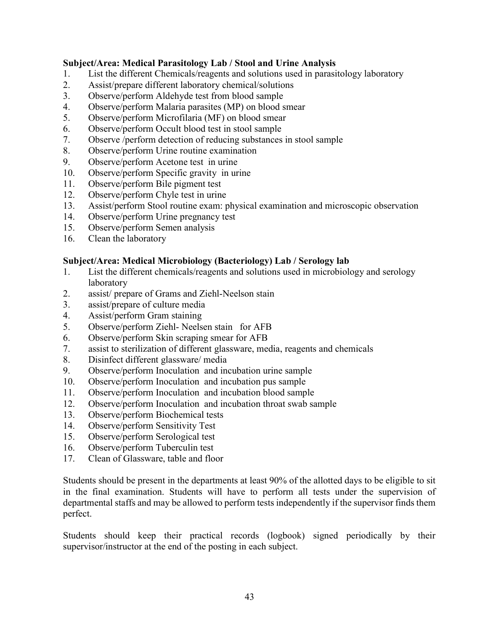#### Subject/Area: Medical Parasitology Lab / Stool and Urine Analysis

- 1. List the different Chemicals/reagents and solutions used in parasitology laboratory
- 2. Assist/prepare different laboratory chemical/solutions
- 3. Observe/perform Aldehyde test from blood sample
- 4. Observe/perform Malaria parasites (MP) on blood smear
- 5. Observe/perform Microfilaria (MF) on blood smear
- 6. Observe/perform Occult blood test in stool sample
- 7. Observe /perform detection of reducing substances in stool sample
- 8. Observe/perform Urine routine examination
- 9. Observe/perform Acetone test in urine
- 10. Observe/perform Specific gravity in urine
- 11. Observe/perform Bile pigment test
- 12. Observe/perform Chyle test in urine
- 13. Assist/perform Stool routine exam: physical examination and microscopic observation
- 14. Observe/perform Urine pregnancy test
- 15. Observe/perform Semen analysis
- 16. Clean the laboratory

#### Subject/Area: Medical Microbiology (Bacteriology) Lab / Serology lab

- 1. List the different chemicals/reagents and solutions used in microbiology and serology laboratory
- 2. assist/ prepare of Grams and Ziehl-Neelson stain
- 3. assist/prepare of culture media
- 4. Assist/perform Gram staining
- 5. Observe/perform Ziehl- Neelsen stain for AFB
- 6. Observe/perform Skin scraping smear for AFB
- 7. assist to sterilization of different glassware, media, reagents and chemicals
- 8. Disinfect different glassware/ media
- 9. Observe/perform Inoculation and incubation urine sample
- 10. Observe/perform Inoculation and incubation pus sample
- 11. Observe/perform Inoculation and incubation blood sample
- 12. Observe/perform Inoculation and incubation throat swab sample
- 13. Observe/perform Biochemical tests
- 14. Observe/perform Sensitivity Test
- 15. Observe/perform Serological test
- 16. Observe/perform Tuberculin test
- 17. Clean of Glassware, table and floor

Students should be present in the departments at least 90% of the allotted days to be eligible to sit in the final examination. Students will have to perform all tests under the supervision of departmental staffs and may be allowed to perform tests independently if the supervisor finds them perfect.

Students should keep their practical records (logbook) signed periodically by their supervisor/instructor at the end of the posting in each subject.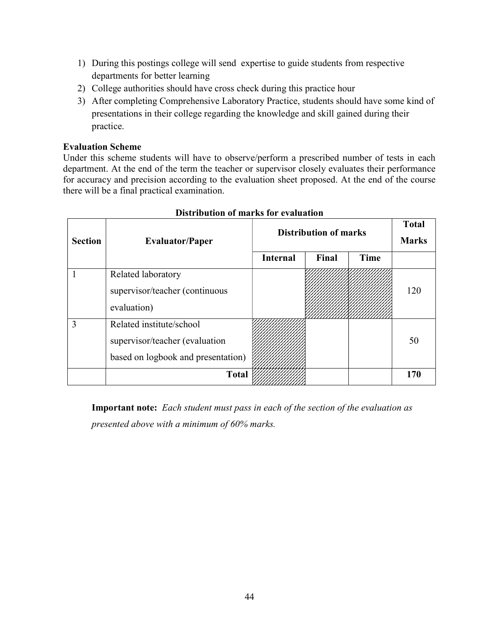- 1) During this postings college will send expertise to guide students from respective departments for better learning
- 2) College authorities should have cross check during this practice hour
- 3) After completing Comprehensive Laboratory Practice, students should have some kind of presentations in their college regarding the knowledge and skill gained during their practice.

#### Evaluation Scheme

Under this scheme students will have to observe/perform a prescribed number of tests in each department. At the end of the term the teacher or supervisor closely evaluates their performance for accuracy and precision according to the evaluation sheet proposed. At the end of the course there will be a final practical examination.

| <b>Section</b> | <b>Evaluator/Paper</b>                                                                           | <b>Distribution of marks</b> | <b>Total</b><br><b>Marks</b> |             |     |
|----------------|--------------------------------------------------------------------------------------------------|------------------------------|------------------------------|-------------|-----|
|                |                                                                                                  | <b>Internal</b>              | Final                        | <b>Time</b> |     |
|                | Related laboratory<br>supervisor/teacher (continuous<br>evaluation)                              |                              |                              |             | 120 |
| 3              | Related institute/school<br>supervisor/teacher (evaluation<br>based on logbook and presentation) |                              |                              |             | 50  |
|                | <b>Total</b>                                                                                     |                              |                              |             | 170 |

### Distribution of marks for evaluation

Important note: Each student must pass in each of the section of the evaluation as presented above with a minimum of 60% marks.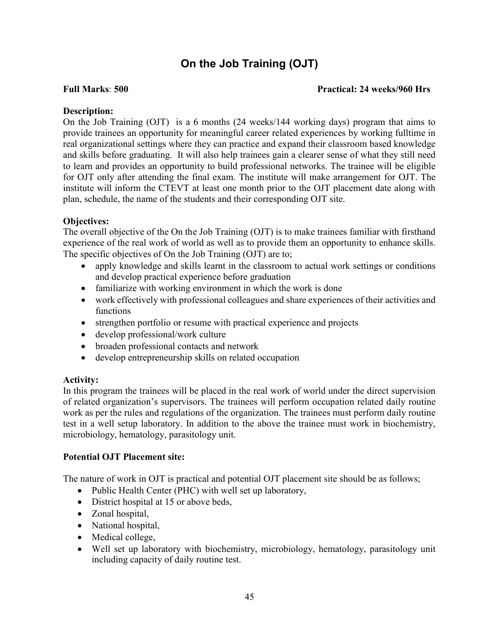## On the Job Training (OJT)

#### Full Marks: 500 Practical: 24 weeks/960 Hrs

#### Description:

On the Job Training (OJT) is a 6 months (24 weeks/144 working days) program that aims to provide trainees an opportunity for meaningful career related experiences by working fulltime in real organizational settings where they can practice and expand their classroom based knowledge and skills before graduating. It will also help trainees gain a clearer sense of what they still need to learn and provides an opportunity to build professional networks. The trainee will be eligible for OJT only after attending the final exam. The institute will make arrangement for OJT. The institute will inform the CTEVT at least one month prior to the OJT placement date along with plan, schedule, the name of the students and their corresponding OJT site.

### Objectives:

The overall objective of the On the Job Training (OJT) is to make trainees familiar with firsthand experience of the real work of world as well as to provide them an opportunity to enhance skills. The specific objectives of On the Job Training (OJT) are to;

- apply knowledge and skills learnt in the classroom to actual work settings or conditions and develop practical experience before graduation
- familiarize with working environment in which the work is done
- work effectively with professional colleagues and share experiences of their activities and functions
- strengthen portfolio or resume with practical experience and projects
- develop professional/work culture
- broaden professional contacts and network
- develop entrepreneurship skills on related occupation

### Activity:

In this program the trainees will be placed in the real work of world under the direct supervision of related organization's supervisors. The trainees will perform occupation related daily routine work as per the rules and regulations of the organization. The trainees must perform daily routine test in a well setup laboratory. In addition to the above the trainee must work in biochemistry, microbiology, hematology, parasitology unit.

### Potential OJT Placement site:

The nature of work in OJT is practical and potential OJT placement site should be as follows;

- Public Health Center (PHC) with well set up laboratory,
- District hospital at 15 or above beds,
- Zonal hospital,
- National hospital,
- Medical college,
- Well set up laboratory with biochemistry, microbiology, hematology, parasitology unit including capacity of daily routine test.